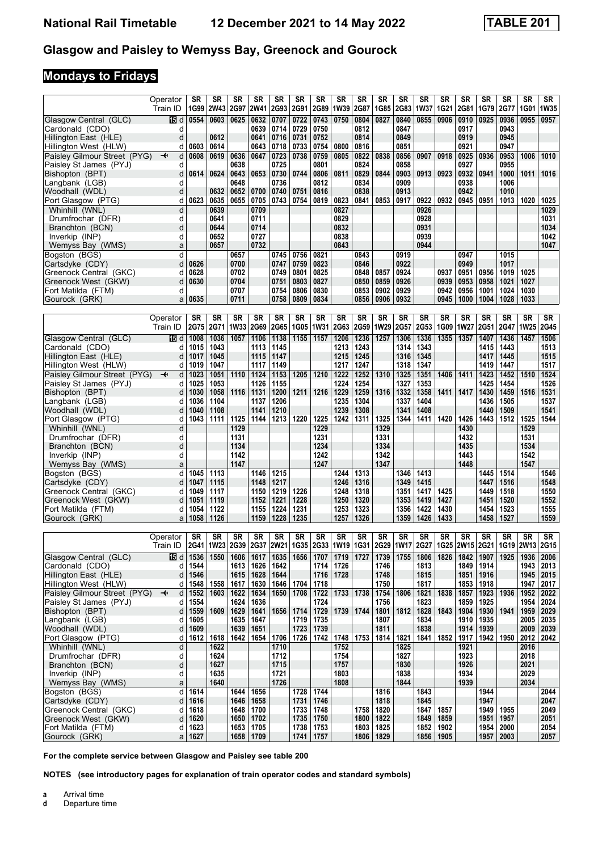# **Mondays to Fridays**

|                                                        | Operator<br>Train ID              | SR<br>1G99   | SR<br><b>2W43</b> | SR<br>2G97             | SR<br><b>2W41</b> | SR<br><b>2G93</b> | SR<br>2G91   | SR<br>2G89             | SR<br>1W39     | SR<br>2G87          | SR<br>1G85   | SR<br><b>2G83</b> | SR<br> 1W37     | SR<br><b>1G21</b> | SR<br>2G81     | SR<br>1G79   | SR<br>2G77   | <b>SR</b><br>1G01 | SR<br><b>1W35</b> |
|--------------------------------------------------------|-----------------------------------|--------------|-------------------|------------------------|-------------------|-------------------|--------------|------------------------|----------------|---------------------|--------------|-------------------|-----------------|-------------------|----------------|--------------|--------------|-------------------|-------------------|
| Glasgow Central (GLC)                                  | 115 d                             | 0554         | 0603              | 0625                   | 0632              | 0707              | 0722         | 0743                   | 0750           | 0804                | 0827         | 0840              | 0855            | 0906              | 0910           | 0925         | 0936         | 0955              | 0957              |
| Cardonald (CDO)                                        | d                                 |              |                   |                        | 0639              | 0714              | 0729         | 0750                   |                | 0812                |              | 0847              |                 |                   | 0917           |              | 0943         |                   |                   |
| Hillington East (HLE)                                  | d                                 |              | 0612              |                        | 0641              | 0716              | 0731         | 0752                   |                | 0814                |              | 0849              |                 |                   | 0919           |              | 0945         |                   |                   |
| Hillington West (HLW)<br>Paisley Gilmour Street (PYG)  | d<br>d                            | 0603<br>0608 | 0614<br>0619      | 0636                   | 0643<br>0647      | 0718              | 0733<br>0738 | 0754                   | 0800<br>0805   | 0816                |              | 0851              |                 |                   | 0921           | 0936         | 0947         | 1006              |                   |
| Paisley St James (PYJ)                                 | ↞<br>d                            |              |                   | 0638                   |                   | 0723<br>0725      |              | 0759<br>0801           |                | 0822<br>0824        | 0838         | 0856<br>0858      | 0907            | 0918              | 0925<br>0927   |              | 0953<br>0955 |                   | 1010              |
| Bishopton (BPT)                                        | d                                 | 0614         | 0624              | 0643                   | 0653              | 0730              | 0744         | 0806                   | 0811           | 0829                | 0844         | 0903              | 0913            | 0923              | 0932           | 0941         | 1000         | 1011              | 1016              |
| Langbank (LGB)                                         | d                                 |              |                   | 0648                   |                   | 0736              |              | 0812                   |                | 0834                |              | 0909              |                 |                   | 0938           |              | 1006         |                   |                   |
| Woodhall (WDL)                                         | d                                 |              | 0632              | 0652                   | 0700              | 0740              | 0751         | 0816                   |                | 0838                |              | 0913              |                 |                   | 0942           |              | 1010         |                   |                   |
| Port Glasgow (PTG)                                     | d                                 | 0623         | 0635              | 0655                   | 0705              | 0743              | 0754         | 0819                   | 0823           | 0841                | 0853         | 0917              | 0922            | 0932              | 0945           | 0951         | 1013         | 1020              | 1025              |
| Whinhill (WNL)                                         | d                                 |              | 0639              |                        | 0709              |                   |              |                        | 0827           |                     |              |                   | 0926            |                   |                |              |              |                   | 1029              |
| Drumfrochar (DFR)                                      | d                                 |              | 0641              |                        | 0711              |                   |              |                        | 0829           |                     |              |                   | 0928            |                   |                |              |              |                   | 1031              |
| Branchton (BCN)                                        | d                                 |              | 0644              |                        | 0714              |                   |              |                        | 0832           |                     |              |                   | 0931            |                   |                |              |              |                   | 1034              |
| Inverkip (INP)                                         | d<br>a                            |              | 0652<br>0657      |                        | 0727<br>0732      |                   |              |                        | 0838<br>0843   |                     |              |                   | 0939<br>0944    |                   |                |              |              |                   | 1042<br>1047      |
| Wemyss Bay (WMS)<br>Bogston (BGS)                      | d                                 |              |                   | 0657                   |                   | 0745              | 0756         | 0821                   |                | 0843                |              | 0919              |                 |                   | 0947           |              | 1015         |                   |                   |
| Cartsdyke (CDY)                                        | d                                 | 0626         |                   | 0700                   |                   | 0747              | 0759         | 0823                   |                | 0846                |              | 0922              |                 |                   | 0949           |              | 1017         |                   |                   |
| Greenock Central (GKC)                                 | d                                 | 0628         |                   | 0702                   |                   | 0749              | 0801         | 0825                   |                | 0848                | 0857         | 0924              |                 | 0937              | 0951           | 0956         | 1019         | 1025              |                   |
| Greenock West (GKW)                                    | d                                 | 0630         |                   | 0704                   |                   | 0751              | 0803         | 0827                   |                | 0850                | 0859         | 0926              |                 | 0939              | 0953           | 0958         | 1021         | 1027              |                   |
| Fort Matilda (FTM)                                     | d                                 |              |                   | 0707                   |                   | 0754              | 0806         | 0830                   |                | 0853                | 0902         | 0929              |                 | 0942              | 0956           | 1001         | 1024         | 1030              |                   |
| Gourock (GRK)                                          | a                                 | 0635         |                   | 0711                   |                   | 0758              | 0809         | 0834                   |                | 0856                | 0906         | 0932              |                 | 0945              | 1000           | 1004         | 1028         | 1033              |                   |
|                                                        |                                   |              |                   |                        |                   |                   |              |                        |                |                     |              |                   |                 |                   |                |              |              |                   |                   |
|                                                        | Operator                          | SR           | SR                | <b>SR</b><br>2G71 1W33 | SR                | <b>SR</b>         | SR           | <b>SR</b><br>1G05 1W31 | <b>SR</b>      | <b>SR</b>           | SR           | SR                | SR<br>2G53 1G09 | <b>SR</b>         | SR             | SR           | SR           | <b>SR</b>         | SR                |
|                                                        | Train ID                          | 2G75         |                   |                        | 2G69              | <b>2G65</b>       |              |                        |                | 2G63 2G59 1W29 2G57 |              |                   |                 |                   | 1W27           | <b>2G51</b>  | 2G47         | <b>1W25</b>       | 2G45              |
| Glasgow Central (GLC)                                  | 16 d                              | 1008         | 1036              | 1057                   | 1106              | 1138              | 1155         | 1157                   | 1206           | 1236                | 1257         | 1306              | 1336            | 1355              | 1357           | 1407         | 1436         | 1457              | 1506              |
| Cardonald (CDO)<br>Hillington East (HLE)               | d<br>d                            | 1015<br>1017 | 1043<br>1045      |                        | 1113<br>1115      | 1145<br>1147      |              |                        | 1213<br>1215   | 1243<br>1245        |              | 1314<br>1316      | 1343<br>1345    |                   |                | 1415<br>1417 | 1443<br>1445 |                   | 1513<br>1515      |
| Hillington West (HLW)                                  | d                                 | 1019         | 1047              |                        | 1117              | 1149              |              |                        | 1217           | 1247                |              | 1318              | 1347            |                   |                | 1419         | 1447         |                   | 1517              |
| Paisley Gilmour Street (PYG)                           | d<br>↞                            | 1023         | 1051              | 1110                   | 1124              | 1153              | 1205         | 1210                   | 1222           | 1252                | 1310         | 1325              | 1351            | 1406              | 1411           | 1423         | 1452         | 1510              | 1524              |
| Paisley St James (PYJ)                                 | d                                 | 1025         | 1053              |                        | 1126              | 1155              |              |                        | 1224           | 1254                |              | 1327              | 1353            |                   |                | 1425         | 1454         |                   | 1526              |
| Bishopton (BPT)                                        | d                                 | 1030         | 1058              | 1116                   | 1131              | 1200              | 1211         | 1216                   | 1229           | 1259                | 1316         | 1332              | 1358            | 1411              | 1417           | 1430         | 1459         | 1516              | 1531              |
| Langbank (LGB)                                         | d                                 | 1036         | 1104              |                        | 1137              | 1206              |              |                        | 1235           | 1304                |              | 1337              | 1404            |                   |                | 1436         | 1505         |                   | 1537              |
| Woodhall (WDL)                                         | d                                 | 1040         | 1108              |                        | 1141              | 1210              |              |                        | 1239           | 1308                |              | 1341              | 1408            |                   |                | 1440         | 1509         |                   | 1541              |
| Port Glasgow (PTG)                                     | d                                 | 1043         | 1111              | 1125                   | 1144              | 1213              | 1220         | 1225                   | 1242           | 1311                | 1325         | 1344              | 1411            | 1420              | 1426           | 1443         | 1512         | 1525              | 1544              |
| Whinhill (WNL)                                         | d                                 |              |                   | 1129                   |                   |                   |              | 1229                   |                |                     | 1329<br>1331 |                   |                 |                   | 1430<br>1432   |              |              | 1529<br>1531      |                   |
| Drumfrochar (DFR)<br>Branchton (BCN)                   | d<br>d                            |              |                   | 1131<br>1134           |                   |                   |              | 1231<br>1234           |                |                     | 1334         |                   |                 |                   | 1435           |              |              | 1534              |                   |
| Inverkip (INP)                                         | d                                 |              |                   | 1142                   |                   |                   |              | 1242                   |                |                     | 1342         |                   |                 |                   | 1443           |              |              | 1542              |                   |
| Wemyss Bay (WMS)                                       | a                                 |              |                   | 1147                   |                   |                   |              | 1247                   |                |                     | 1347         |                   |                 |                   | 1448           |              |              | 1547              |                   |
| Bogston (BGS)                                          | d                                 | 1045         | 1113              |                        | 1146              | 1215              |              |                        | 1244           | 1313                |              | 1346              | 1413            |                   |                | 1445         | 1514         |                   | 1546              |
| Cartsdyke (CDY)                                        | d                                 | 1047         | 1115              |                        | 1148              | 1217              |              |                        | 1246           | 1316                |              | 1349              | 1415            |                   |                | 1447         | 1516         |                   | 1548              |
| Greenock Central (GKC)                                 | d                                 | 1049         | 1117              |                        | 1150              | 1219              | 1226         |                        | 1248           | 1318                |              | 1351              | 1417            | 1425              |                | 1449         | 1518         |                   | 1550              |
| Greenock West (GKW)                                    | d                                 | 1051         | 1119              |                        | 1152              | 1221              | 1228         |                        | 1250           | 1320                |              | 1353              | 1419            | 1427              |                | 1451         | 1520         |                   | 1552              |
| Fort Matilda (FTM)<br>Gourock (GRK)                    | d<br>a                            | 1054<br>1058 | 1122<br>1126      |                        | 1155<br>1159      | 1224<br>1228      | 1231<br>1235 |                        | 1253<br>1257   | 1323<br>1326        |              | 1356<br>1359      | 1422<br>1426    | 1430<br>1433      |                | 1454<br>1458 | 1523<br>1527 |                   | 1555<br>1559      |
|                                                        |                                   |              |                   |                        |                   |                   |              |                        |                |                     |              |                   |                 |                   |                |              |              |                   |                   |
|                                                        | Operator                          | SR           | SR                | SR                     | SR                | SR                | SR           | SR                     | SR             | SR                  | SR           | SR                | SR              | SR                | SR             | SR           | SR           | SR                | SR                |
|                                                        | Train ID                          | 2G41         | 1W23              |                        | 2G39 2G37         | 2W <sub>21</sub>  | 1G35         |                        | 2G33 1W19 1G31 |                     | 2G29 1W17    |                   | 2G27            |                   | 1G25 2W15 2G21 |              | 1G19         | <b>2W13</b>       | 2G15              |
| Glasgow Central (GLC)                                  | 15 d                              | 1536         | 1550              | 1606                   | 1617              | 1635              | 1656         | 1707                   | 1719           | 1727                | 1739         | 1755              | 1806            | 1826              | 1842           | 1907         | 1925         | 1936              | 2006              |
| Cardonald (CDO)                                        | d                                 | 1544         |                   | 1613                   | 1626              | 1642              |              | 1714                   | 1726           |                     | 1746         |                   | 1813            |                   | 1849           | 1914         |              | 1943              | 2013              |
| Hillington East (HLE)                                  | d                                 | 1546         |                   | 1615                   | 1628              | 1644              |              | 1716                   | 1728           |                     | 1748         |                   | 1815            |                   | 1851           | 1916         |              | 1945              | 2015              |
| Hillington West (HLW)                                  | d                                 | 1548         | 1558              | 1617                   | 1630              |                   | 1646   1704  | 1718                   |                |                     | 1750         |                   | 1817            |                   | 1853   1918    |              |              | 1947              | 2017              |
| Paisley Gilmour Street (PYG)<br>Paisley St James (PYJ) | d<br>$\overline{\mathbf{t}}$<br>d | 1552<br>1554 | 1603              | 1622<br>1624           | 1634<br>1636      |                   | 1650   1708  | 1722<br>1724           |                | 1733   1738         | 1754<br>1756 | 1806              | 1821<br>1823    | 1838              | 1857<br>1859   | 1923<br>1925 | 1936         | 1952<br>1954      | 2022<br>2024      |
| Bishopton (BPT)                                        | d                                 | 1559         |                   | 1609   1629            | 1641              |                   | 1656 1714    | 1729                   |                | 1739   1744         | 1801         | 1812              | 1828            | 1843              | 1904           | 1930         | 1941         | 1959              | 2029              |
| Langbank (LGB)                                         | d                                 | 1605         |                   | 1635                   | 1647              |                   | 1719         | 1735                   |                |                     | 1807         |                   | 1834            |                   | 1910           | 1935         |              | 2005              | 2035              |
| Woodhall (WDL)                                         | d                                 | 1609         |                   | 1639                   | 1651              |                   | 1723         | 1739                   |                |                     | 1811         |                   | 1838            |                   | 1914           | 1939         |              | 2009              | 2039              |
| Port Glasgow (PTG)                                     | d                                 | 1612         | 1618              | 1642                   | 1654              | 1706              | 1726         | 1742                   |                | 1748 1753           | 1814         | 1821              | 1841            | 1852              | 1917           |              | 1942   1950  | 2012              | 2042              |
| Whinhill (WNL)                                         | d                                 |              | 1622              |                        |                   | 1710              |              |                        | 1752           |                     |              | 1825              |                 |                   | 1921           |              |              | 2016              |                   |
| Drumfrochar (DFR)                                      | d                                 |              | 1624              |                        |                   | 1712              |              |                        | 1754           |                     |              | 1827              |                 |                   | 1923           |              |              | 2018              |                   |
| Branchton (BCN)                                        | d                                 |              | 1627              |                        |                   | 1715              |              |                        | 1757           |                     |              | 1830              |                 |                   | 1926           |              |              | 2021              |                   |
| Inverkip (INP)<br>Wemyss Bay (WMS)                     | d<br>a                            |              | 1635<br>1640      |                        |                   | 1721<br>1726      |              |                        | 1803<br>1808   |                     |              | 1838<br>1844      |                 |                   | 1934<br>1939   |              |              | 2029<br>2034      |                   |
| Bogston (BGS)                                          | d                                 | 1614         |                   | 1644                   | 1656              |                   | 1728         | 1744                   |                |                     | 1816         |                   | 1843            |                   |                | 1944         |              |                   | 2044              |
| Cartsdyke (CDY)                                        | d                                 | 1616         |                   | 1646                   | 1658              |                   | 1731         | 1746                   |                |                     | 1818         |                   | 1845            |                   |                | 1947         |              |                   | 2047              |
| Greenock Central (GKC)                                 | d                                 | 1618         |                   | 1648                   | 1700              |                   | 1733         | 1748                   |                | 1758                | 1820         |                   | 1847            | 1857              |                | 1949         | 1955         |                   | 2049              |
| Greenock West (GKW)                                    | d                                 | 1620         |                   | 1650                   | 1702              |                   | 1735         | 1750                   |                | 1800                | 1822         |                   | 1849            | 1859              |                | 1951         | 1957         |                   | 2051              |
| Fort Matilda (FTM)                                     | d                                 | 1623         |                   | 1653                   | 1705              |                   | 1738         | 1753                   |                | 1803                | 1825         |                   | 1852            | 1902              |                | 1954         | 2000         |                   | 2054              |
| Gourock (GRK)                                          | a                                 | 1627         |                   | 1658                   | 1709              |                   | 1741         | 1757                   |                | 1806                | 1829         |                   | 1856            | 1905              |                | 1957         | 2003         |                   | 2057              |

For the complete service between Glasgow and Paisley see table 200

**NOTES (see introductory pages for explanation of train operator codes and standard symbols)**

**a** Arrival time<br>**d** Departure t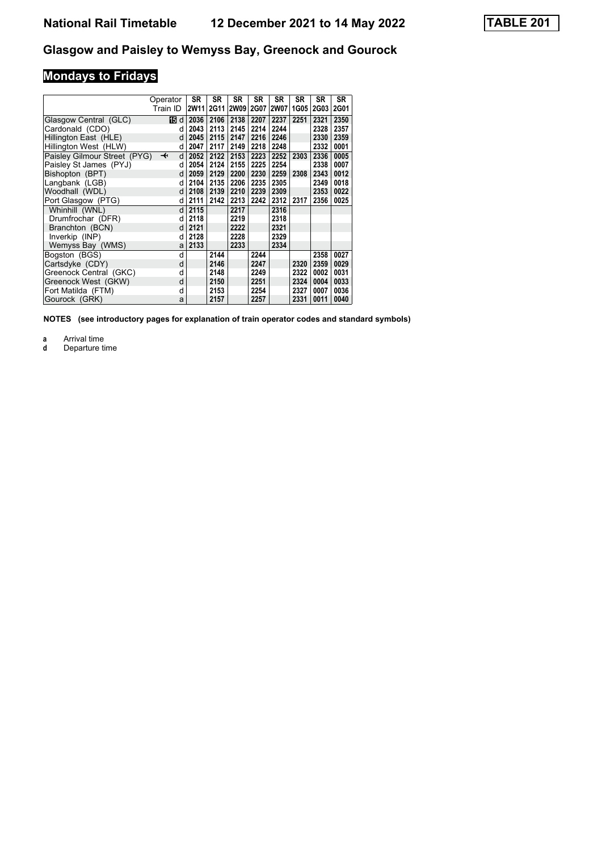# **Mondays to Fridays**

| Operator                                                |      | <b>SR</b> | SR          | <b>SR</b>   | SR          | <b>SR</b>   | SR   | SR          | <b>SR</b> |
|---------------------------------------------------------|------|-----------|-------------|-------------|-------------|-------------|------|-------------|-----------|
| Train ID                                                |      | 2W11      | <b>2G11</b> | <b>2W09</b> | <b>2G07</b> | <b>2W07</b> | 1G05 | <b>2G03</b> | 2G01      |
| Glasgow Central (GLC)                                   | 16 d | 2036      | 2106        | 2138        | 2207        | 2237        | 2251 | 2321        | 2350      |
| Cardonald (CDO)                                         | d    | 2043      | 2113        | 2145        | 2214        | 2244        |      | 2328        | 2357      |
| Hillington East (HLE)                                   | d    | 2045      | 2115        | 2147        | 2216        | 2246        |      | 2330        | 2359      |
| Hillington West (HLW)                                   | d    | 2047      | 2117        | 2149        | 2218        | 2248        |      | 2332        | 0001      |
| Paisley Gilmour Street (PYG)<br>$\overline{\mathbf{t}}$ | d    | 2052      | 2122        | 2153        | 2223        | 2252        | 2303 | 2336        | 0005      |
| Paisley St James (PYJ)                                  | d    | 2054      | 2124        | 2155        | 2225        | 2254        |      | 2338        | 0007      |
| Bishopton (BPT)                                         | d    | 2059      | 2129        | 2200        | 2230        | 2259        | 2308 | 2343        | 0012      |
| Langbank (LGB)                                          | d    | 2104      | 2135        | 2206        | 2235        | 2305        |      | 2349        | 0018      |
| Woodhall (WDL)                                          | d    | 2108      | 2139        | 2210        | 2239        | 2309        |      | 2353        | 0022      |
| Port Glasgow (PTG)                                      | d    | 2111      | 2142        | 2213        | 2242        | 2312        | 2317 | 2356        | 0025      |
| Whinhill (WNL)                                          | d    | 2115      |             | 2217        |             | 2316        |      |             |           |
| Drumfrochar (DFR)                                       | d    | 2118      |             | 2219        |             | 2318        |      |             |           |
| Branchton (BCN)                                         | d    | 2121      |             | 2222        |             | 2321        |      |             |           |
| Inverkip (INP)                                          | d    | 2128      |             | 2228        |             | 2329        |      |             |           |
| Wemyss Bay (WMS)                                        | a    | 2133      |             | 2233        |             | 2334        |      |             |           |
| Bogston (BGS)                                           | d    |           | 2144        |             | 2244        |             |      | 2358        | 0027      |
| Cartsdyke (CDY)                                         | d    |           | 2146        |             | 2247        |             | 2320 | 2359        | 0029      |
| Greenock Central (GKC)                                  | d    |           | 2148        |             | 2249        |             | 2322 | 0002        | 0031      |
| Greenock West (GKW)                                     | d    |           | 2150        |             | 2251        |             | 2324 | 0004        | 0033      |
| Fort Matilda (FTM)                                      | d    |           | 2153        |             | 2254        |             | 2327 | 0007        | 0036      |
| Gourock (GRK)                                           | a    |           | 2157        |             | 2257        |             | 2331 | 0011        | 0040      |

**NOTES (see introductory pages for explanation of train operator codes and standard symbols)**

**a** Arrival time<br>**d** Departure ti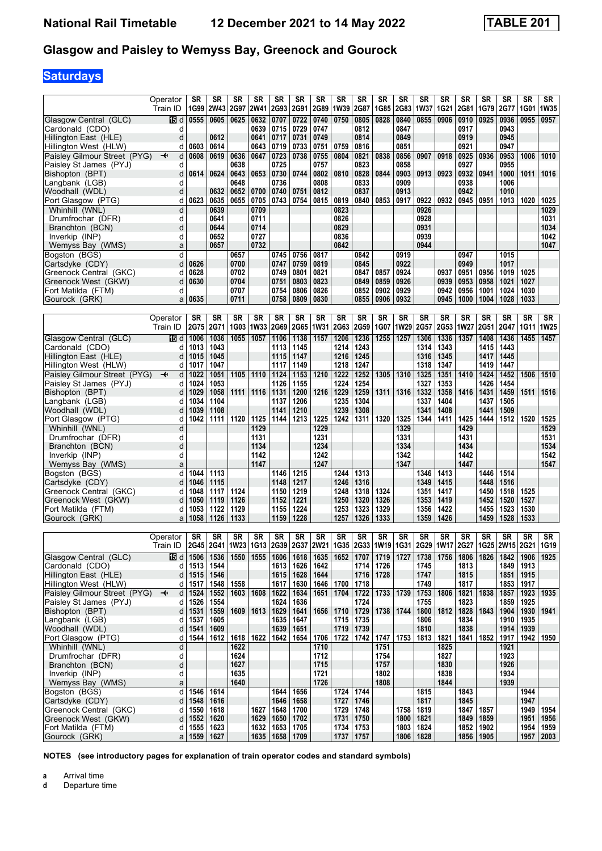# **Saturdays**

|                                                       | Operator    | SR           | <b>SR</b>    | <b>SR</b>              | SR           | SR           | SR                  | SR                     | SR           | SR           | SR             | SR                     | SR           | SR                     | SR           | <b>SR</b>    | SR             | <b>SR</b>    | SR                  |
|-------------------------------------------------------|-------------|--------------|--------------|------------------------|--------------|--------------|---------------------|------------------------|--------------|--------------|----------------|------------------------|--------------|------------------------|--------------|--------------|----------------|--------------|---------------------|
| Glasgow Central (GLC)                                 | Train ID    | 1G99         | <b>2W43</b>  | 2G97                   | <b>2W41</b>  | 2G93         | <b>2G91</b><br>0722 | 2G89                   | 1W39         | 2G87         | 1G85           | <b>2G83</b>            | 1W37         | 1G21                   | 2G81         | 1G79         | 2G77           | 1G01         | <b>1W35</b><br>0957 |
| Cardonald (CDO)                                       | 115 d<br>d  | 0555         | 0605         | 0625                   | 0632<br>0639 | 0707<br>0715 | 0729                | 0740<br>0747           | 0750         | 0805<br>0812 | 0828           | 0840<br>0847           | 0855         | 0906                   | 0910<br>0917 | 0925         | 0936<br>0943   | 0955         |                     |
| Hillington East (HLE)                                 | d           |              | 0612         |                        | 0641         | 0717         | 0731                | 0749                   |              | 0814         |                | 0849                   |              |                        | 0919         |              | 0945           |              |                     |
| Hillington West (HLW)                                 | d           | 0603         | 0614         |                        | 0643         | 0719         | 0733                | 0751                   | 0759         | 0816         |                | 0851                   |              |                        | 0921         |              | 0947           |              |                     |
| Paisley Gilmour Street (PYG)                          | d<br>↞      | 0608         | 0619         | 0636                   | 0647         | 0723         | 0738                | 0755                   | 0804         | 0821         | 0838           | 0856                   | 0907         | 0918                   | 0925         | 0936         | 0953           | 1006         | 1010                |
| Paisley St James (PYJ)<br>Bishopton (BPT)             | d<br>d      | 0614         | 0624         | 0638<br>0643           | 0653         | 0725<br>0730 | 0744                | 0757<br>0802           | 0810         | 0823<br>0828 | 0844           | 0858<br>0903           | 0913         | 0923                   | 0927<br>0932 | 0941         | 0955<br>1000   | 1011         | 1016                |
| Langbank (LGB)                                        | d           |              |              | 0648                   |              | 0736         |                     | 0808                   |              | 0833         |                | 0909                   |              |                        | 0938         |              | 1006           |              |                     |
| Woodhall (WDL)                                        | d           |              | 0632         | 0652                   | 0700         | 0740         | 0751                | 0812                   |              | 0837         |                | 0913                   |              |                        | 0942         |              | 1010           |              |                     |
| Port Glasgow (PTG)                                    | d           | 0623         | 0635         | 0655                   | 0705         | 0743         | 0754                | 0815                   | 0819         | 0840         | 0853           | 0917                   | 0922         | 0932                   | 0945         | 0951         | 1013           | 1020         | 1025                |
| Whinhill (WNL)                                        | d           |              | 0639         |                        | 0709         |              |                     |                        | 0823         |              |                |                        | 0926         |                        |              |              |                |              | 1029                |
| Drumfrochar (DFR)                                     | d           |              | 0641         |                        | 0711         |              |                     |                        | 0826         |              |                |                        | 0928         |                        |              |              |                |              | 1031                |
| Branchton (BCN)<br>Inverkip (INP)                     | d<br>d      |              | 0644<br>0652 |                        | 0714<br>0727 |              |                     |                        | 0829<br>0836 |              |                |                        | 0931<br>0939 |                        |              |              |                |              | 1034<br>1042        |
| Wemyss Bay (WMS)                                      | a           |              | 0657         |                        | 0732         |              |                     |                        | 0842         |              |                |                        | 0944         |                        |              |              |                |              | 1047                |
| Bogston (BGS)                                         | d           |              |              | 0657                   |              | 0745         | 0756                | 0817                   |              | 0842         |                | 0919                   |              |                        | 0947         |              | 1015           |              |                     |
| Cartsdyke (CDY)                                       | d           | 0626         |              | 0700                   |              | 0747         | 0759                | 0819                   |              | 0845         |                | 0922                   |              |                        | 0949         |              | 1017           |              |                     |
| Greenock Central (GKC)                                | d           | 0628         |              | 0702                   |              | 0749         | 0801                | 0821                   |              | 0847         | 0857           | 0924                   |              | 0937                   | 0951         | 0956         | 1019           | 1025         |                     |
| Greenock West (GKW)                                   | d<br>d      | 0630         |              | 0704<br>0707           |              | 0751<br>0754 | 0803<br>0806        | 0823<br>0826           |              | 0849<br>0852 | 0859<br>0902   | 0926<br>0929           |              | 0939<br>0942           | 0953<br>0956 | 0958<br>1001 | 1021<br>1024   | 1027<br>1030 |                     |
| Fort Matilda (FTM)<br>Gourock (GRK)                   | a           | 0635         |              | 0711                   |              | 0758         | 0809                | 0830                   |              | 0855         | 0906           | 0932                   |              | 0945                   | 1000         | 1004         | 1028           | 1033         |                     |
|                                                       |             |              |              |                        |              |              |                     |                        |              |              |                |                        |              |                        |              |              |                |              |                     |
|                                                       | Operator    | SR           | SR           | $\overline{\text{SR}}$ | SR           | <b>SR</b>    | SR                  | $\overline{\text{SR}}$ | SR           | <b>SR</b>    | SR             | $\overline{\text{SR}}$ | SR           | $\overline{\text{SR}}$ | <b>SR</b>    | <b>SR</b>    | SR             | <b>SR</b>    | SR                  |
|                                                       | Train ID    | 2G75         | 2G71         | 1G03                   | <b>1W33</b>  | 2G69         |                     | 2G65 1W31              | 2G63         | 2G59         | 1G07           | 1W29                   | 2G57         |                        | 2G53 1W27    | 2G51         | 2G47           | <b>1G11</b>  | 1W25                |
| Glasgow Central (GLC)                                 | 115 d       | 1006         | 1036         | 1055                   | 1057         | 1106         | 1138                | 1157                   | 1206         | 1236         | 1255           | 1257                   | 1306         | 1336                   | 1357         | 1408         | 1436           | 1455         | 1457                |
| Cardonald (CDO)<br>Hillington East (HLE)              | d<br>d      | 1013<br>1015 | 1043<br>1045 |                        |              | 1113<br>1115 | 1145<br>1147        |                        | 1214<br>1216 | 1243<br>1245 |                |                        | 1314<br>1316 | 1343<br>1345           |              | 1415<br>1417 | 1443<br>1445   |              |                     |
| Hillington West (HLW)                                 | d           | 1017         | 1047         |                        |              | 1117         | 1149                |                        | 1218         | 1247         |                |                        | 1318         | 1347                   |              | 1419         | 1447           |              |                     |
| Paisley Gilmour Street (PYG)                          | d<br>↞      | 1022         | 1051         | 1105                   | 1110         | 1124         | 1153                | 1210                   | 1222         | 1252         | 1305           | 1310                   | 1325         | 1351                   | 1410         | 1424         | 1452           | 1506         | 1510                |
| Paisley St James (PYJ)                                | d           | 1024         | 1053         |                        |              | 1126         | 1155                |                        | 1224         | 1254         |                |                        | 1327         | 1353                   |              | 1426         | 1454           |              |                     |
| Bishopton (BPT)                                       | d           | 1029         | 1058         | 1111                   | 1116         | 1131         | 1200                | 1216                   | 1229         | 1259         | 1311           | 1316                   | 1332         | 1358                   | 1416         | 1431         | 1459           | 1511         | 1516                |
| Langbank (LGB)                                        | d           | 1034         | 1104         |                        |              | 1137<br>1141 | 1206                |                        | 1235<br>1239 | 1304         |                |                        | 1337<br>1341 | 1404<br>1408           |              | 1437<br>1441 | 1505           |              |                     |
| Woodhall (WDL)<br>Port Glasgow (PTG)                  | d<br>d      | 1039<br>1042 | 1108<br>1111 | 1120                   | 1125         | 1144         | 1210<br>1213        | 1225                   | 1242         | 1308<br>1311 | 1320           | 1325                   | 1344         | 1411                   | 1425         | 1444         | 1509<br>1512   | 1520         | 1525                |
| Whinhill (WNL)                                        | d           |              |              |                        | 1129         |              |                     | 1229                   |              |              |                | 1329                   |              |                        | 1429         |              |                |              | 1529                |
| Drumfrochar (DFR)                                     | d           |              |              |                        | 1131         |              |                     | 1231                   |              |              |                | 1331                   |              |                        | 1431         |              |                |              | 1531                |
| Branchton (BCN)                                       | d           |              |              |                        | 1134         |              |                     | 1234                   |              |              |                | 1334                   |              |                        | 1434         |              |                |              | 1534                |
| Inverkip (INP)                                        | d           |              |              |                        | 1142         |              |                     | 1242                   |              |              |                | 1342                   |              |                        | 1442         |              |                |              | 1542                |
| Wemyss Bay (WMS)<br>Bogston (BGS)                     | a<br>d      | 1044         | 1113         |                        | 1147         | 1146         | 1215                | 1247                   | 1244         | 1313         |                | 1347                   | 1346         | 1413                   | 1447         | 1446         | 1514           |              | 1547                |
| Cartsdyke (CDY)                                       | d           | 1046         | 1115         |                        |              | 1148         | 1217                |                        | 1246         | 1316         |                |                        | 1349         | 1415                   |              | 1448         | 1516           |              |                     |
| Greenock Central (GKC)                                | d           | 1048         | 1117         | 1124                   |              | 1150         | 1219                |                        | 1248         | 1318         | 1324           |                        | 1351         | 1417                   |              | 1450         | 1518           | 1525         |                     |
| Greenock West (GKW)                                   | d           | 1050         | 1119         | 1126                   |              | 1152         | 1221                |                        | 1250         | 1320         | 1326           |                        | 1353         | 1419                   |              | 1452         | 1520           | 1527         |                     |
| Fort Matilda (FTM)                                    | d           | 1053         | 1122         | 1129                   |              | 1155         | 1224                |                        | 1253         | 1323         | 1329           |                        | 1356         | 1422                   |              | 1455         | 1523           | 1530         |                     |
| Gourock (GRK)                                         | a           | 1058         | 1126         | 1133                   |              | 1159         | 1228                |                        | 1257         | 1326         | 1333           |                        | 1359         | 1426                   |              | 1459         | 1528           | 1533         |                     |
|                                                       | Operator    | <b>SR</b>    | SR           | SR                     | SR           | SR           | SR                  | SR                     | SR           | <b>SR</b>    | SR             | SR                     | SR           | SR                     | SR           | <b>SR</b>    | SR             | <b>SR</b>    | SR                  |
|                                                       | Train ID    | 2G45         | 2G41         |                        | 1W23 1G13    |              | 2G39 2G37           | <b>2W21</b>            | 1G35         |              | 2G33 1W19 1G31 |                        |              | 2G29 1W17              | 2G27         |              | 1G25 2W15 2G21 |              | 1G19                |
| Glasgow Central (GLC)                                 | 15 d        | 1506         | 1536         | 1550                   | 1555         | 1606         | 1618                | 1635                   | 1652         | 1707         | 1719           | 1727                   | 1738         | 1756                   | 1806         | 1826         | 1842           | 1906         | 1925                |
| Cardonald (CDO)                                       | d           | 1513         | 1544         |                        |              | 1613         | 1626                | 1642                   |              | 1714         | 1726           |                        | 1745         |                        | 1813         |              | 1849           | 1913         |                     |
| Hillington East (HLE)                                 | d           | 1515         | 1546         |                        |              | 1615         | 1628                | 1644                   |              | 1716         | 1728           |                        | 1747         |                        | 1815         |              | 1851           | 1915         |                     |
| Hillington West (HLW)<br>Paisley Gilmour Street (PYG) | d<br>d<br>↞ | 1517<br>1524 | 1548<br>1552 | 1558                   | 1603   1608  | 1617<br>1622 | 1630<br>1634        | 1646<br>1651           | 1700<br>1704 | 1718<br>1722 |                | 1733 1739              | 1749<br>1753 | 1806                   | 1817<br>1821 | 1838         | 1853<br>1857   | 1917<br>1923 | 1935                |
| Paisley St James (PYJ)                                | d           | 1526         | 1554         |                        |              | 1624         | 1636                |                        |              | 1724         |                |                        | 1755         |                        | 1823         |              | 1859           | 1925         |                     |
| Bishopton (BPT)                                       | d           | 1531         | 1559         |                        | 1609   1613  | 1629         | 1641                | 1656 1710              |              | 1729         |                | 1738 1744              |              | 1800   1812            | 1828   1843  |              | 1904           | 1930         | 1941                |
| Langbank (LGB)                                        | d           | 1537         | 1605         |                        |              | 1635         | 1647                |                        | 1715         | 1735         |                |                        | 1806         |                        | 1834         |              | 1910           | 1935         |                     |
| Woodhall (WDL)                                        | d           | 1541         | 1609         |                        |              | 1639         | 1651                |                        |              | 1719   1739  |                |                        | 1810         |                        | 1838         |              | 1914           | 1939         |                     |
| Port Glasgow (PTG)<br>Whinhill (WNL)                  | d<br>d      | 1544         | 1612         | 1622                   | 1618   1622  | 1642         | 1654                | 1706<br>1710           | 1722         | 1742         | 1747<br>1751   | 1753                   | 1813         | 1821                   | 1841         | 1852         | 1917<br>1921   | 1942         | 1950                |
| Drumfrochar (DFR)                                     | d           |              |              | 1624                   |              |              |                     | 1712                   |              |              | 1754           |                        |              | 1825<br>1827           |              |              | 1923           |              |                     |
| Branchton (BCN)                                       | d           |              |              | 1627                   |              |              |                     | 1715                   |              |              | 1757           |                        |              | 1830                   |              |              | 1926           |              |                     |
| Inverkip (INP)                                        | d           |              |              | 1635                   |              |              |                     | 1721                   |              |              | 1802           |                        |              | 1838                   |              |              | 1934           |              |                     |
| Wemyss Bay (WMS)                                      | a           |              |              | 1640                   |              |              |                     | 1726                   |              |              | 1808           |                        |              | 1844                   |              |              | 1939           |              |                     |
| Bogston (BGS)                                         | d           | 1546         | 1614         |                        |              | 1644         | 1656                |                        | 1724         | 1744         |                |                        | 1815         |                        | 1843         |              |                | 1944         |                     |
| Cartsdyke (CDY)<br>Greenock Central (GKC)             | d<br>d      | 1548<br>1550 | 1616<br>1618 |                        | 1627         | 1646<br>1648 | 1658<br>1700        |                        | 1727<br>1729 | 1746<br>1748 |                | 1758                   | 1817<br>1819 |                        | 1845<br>1847 | 1857         |                | 1947<br>1949 | 1954                |
| Greenock West (GKW)                                   | d           | 1552         | 1620         |                        | 1629         | 1650         | 1702                |                        | 1731         | 1750         |                | 1800                   | 1821         |                        | 1849         | 1859         |                | 1951         | 1956                |
| Fort Matilda (FTM)                                    | d           | 1555         | 1623         |                        | 1632         | 1653         | 1705                |                        | 1734         | 1753         |                | 1803                   | 1824         |                        | 1852         | 1902         |                | 1954         | 1959                |
| Gourock (GRK)                                         | a           | 1559         | 1627         |                        | 1635         | 1658         | 1709                |                        | 1737         | 1757         |                |                        | 1806   1828  |                        | 1856         | 1905         |                | 1957         | 2003                |

**NOTES (see introductory pages for explanation of train operator codes and standard symbols)**

**a** Arrival time<br>**d** Departure t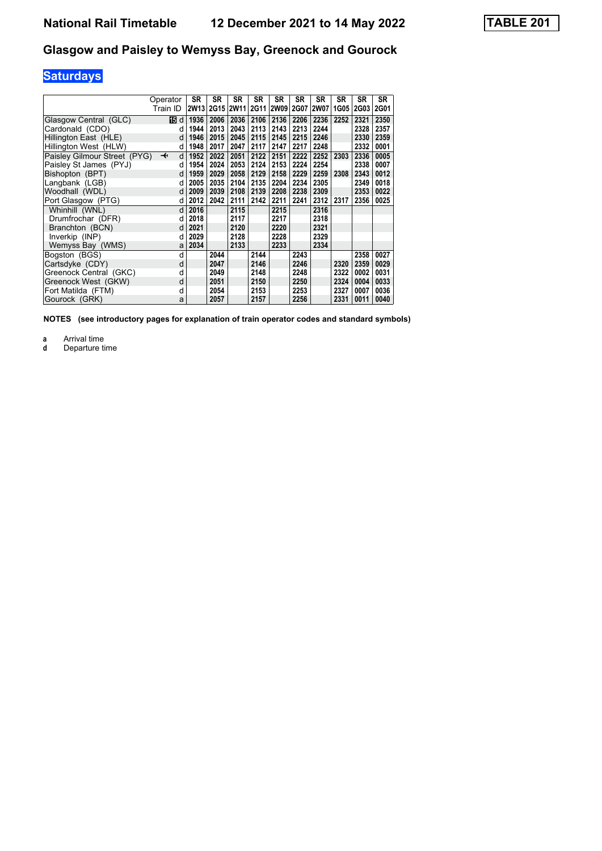# **Saturdays**

| Operator                                                | <b>SR</b>        | <b>SR</b> | <b>SR</b>   | <b>SR</b> | <b>SR</b> | <b>SR</b> | <b>SR</b> | SR   | <b>SR</b>   | <b>SR</b> |
|---------------------------------------------------------|------------------|-----------|-------------|-----------|-----------|-----------|-----------|------|-------------|-----------|
| Train ID                                                | 2W <sub>13</sub> | 2G15      | <b>2W11</b> |           | 2G11 2W09 |           | 2G07 2W07 | 1G05 | <b>2G03</b> | 2G01      |
| Glasgow Central (GLC)<br>16 d                           | 1936             | 2006      | 2036        | 2106      | 2136      | 2206      | 2236      | 2252 | 2321        | 2350      |
| Cardonald (CDO)                                         | 1944<br>d        | 2013      | 2043        | 2113      | 2143      | 2213      | 2244      |      | 2328        | 2357      |
| Hillington East (HLE)<br>d                              | 1946             | 2015      | 2045        | 2115      | 2145      | 2215      | 2246      |      | 2330        | 2359      |
| Hillington West (HLW)                                   | 1948<br>d        | 2017      | 2047        | 2117      | 2147      | 2217      | 2248      |      | 2332        | 0001      |
| Paisley Gilmour Street (PYG)<br>$\overline{\mathbf{t}}$ | 1952<br>d        | 2022      | 2051        | 2122      | 2151      | 2222      | 2252      | 2303 | 2336        | 0005      |
| Paisley St James (PYJ)<br>d                             | 1954             | 2024      | 2053        | 2124      | 2153      | 2224      | 2254      |      | 2338        | 0007      |
| Bishopton (BPT)                                         | 1959<br>d        | 2029      | 2058        | 2129      | 2158      | 2229      | 2259      | 2308 | 2343        | 0012      |
| Langbank (LGB)<br>d                                     | 2005             | 2035      | 2104        | 2135      | 2204      | 2234      | 2305      |      | 2349        | 0018      |
| Woodhall (WDL)<br>d                                     | 2009             | 2039      | 2108        | 2139      | 2208      | 2238      | 2309      |      | 2353        | 0022      |
| Port Glasgow (PTG)<br>d                                 | 2012             | 2042      | 2111        | 2142      | 2211      | 2241      | 2312      | 2317 | 2356        | 0025      |
| Whinhill (WNL)                                          | 2016<br>d        |           | 2115        |           | 2215      |           | 2316      |      |             |           |
| Drumfrochar (DFR)<br>d                                  | 2018             |           | 2117        |           | 2217      |           | 2318      |      |             |           |
| Branchton (BCN)<br>d                                    | 2021             |           | 2120        |           | 2220      |           | 2321      |      |             |           |
| Inverkip (INP)<br>d                                     | 2029             |           | 2128        |           | 2228      |           | 2329      |      |             |           |
| Wemyss Bay (WMS)                                        | 2034<br>a        |           | 2133        |           | 2233      |           | 2334      |      |             |           |
| Bogston (BGS)                                           | d                | 2044      |             | 2144      |           | 2243      |           |      | 2358        | 0027      |
| Cartsdyke (CDY)<br>d                                    |                  | 2047      |             | 2146      |           | 2246      |           | 2320 | 2359        | 0029      |
| Greenock Central (GKC)<br>d                             |                  | 2049      |             | 2148      |           | 2248      |           | 2322 | 0002        | 0031      |
| Greenock West (GKW)<br>d                                |                  | 2051      |             | 2150      |           | 2250      |           | 2324 | 0004        | 0033      |
| Fort Matilda (FTM)<br>d                                 |                  | 2054      |             | 2153      |           | 2253      |           | 2327 | 0007        | 0036      |
| Gourock (GRK)                                           | a                | 2057      |             | 2157      |           | 2256      |           | 2331 | 0011        | 0040      |

**NOTES (see introductory pages for explanation of train operator codes and standard symbols)**

**a** Arrival time<br>**d** Departure ti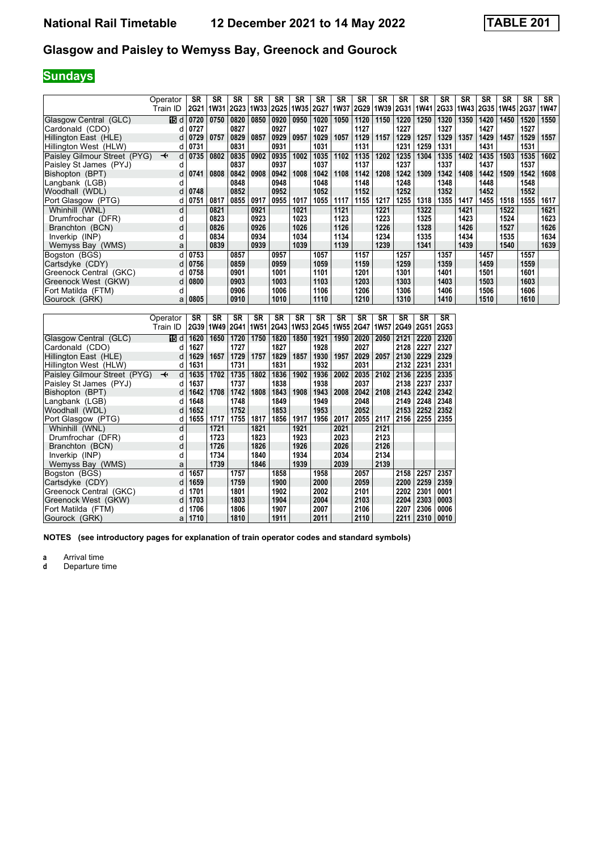# **Sundays**

|                              | Operator                      | SR          | <b>SR</b>   | <b>SR</b>   | <b>SR</b>   | <b>SR</b>   | <b>SR</b>   | <b>SR</b>   | <b>SR</b>   | <b>SR</b>   | <b>SR</b> | <b>SR</b> | <b>SR</b>   | <b>SR</b>   | <b>SR</b>   | <b>SR</b> | <b>SR</b>   | <b>SR</b> | <b>SR</b>   |
|------------------------------|-------------------------------|-------------|-------------|-------------|-------------|-------------|-------------|-------------|-------------|-------------|-----------|-----------|-------------|-------------|-------------|-----------|-------------|-----------|-------------|
|                              | Train ID                      | <b>2G21</b> | <b>1W31</b> | <b>2G23</b> | <b>1W33</b> | <b>2G25</b> | <b>1W35</b> | <b>2G27</b> | <b>1W37</b> | <b>2G29</b> | 1W39      | 2G31      | <b>1W41</b> | <b>2G33</b> | <b>1W43</b> | 2G35      | <b>1W45</b> | 2G37      | <b>1W47</b> |
|                              |                               |             |             |             |             |             |             |             |             |             |           |           |             |             |             |           |             |           |             |
| Glasgow Central (GLC)        | 15 d                          | 0720        | 0750        | 0820        | 0850        | 0920        | 0950        | 1020        | 1050        | 1120        | 1150      | 1220      | 1250        | 1320        | 1350        | 1420      | 1450        | 1520      | 1550        |
| Cardonald (CDO)              |                               | 0727        |             | 0827        |             | 0927        |             | 1027        |             | 1127        |           | 1227      |             | 1327        |             | 1427      |             | 1527      |             |
| Hillington East (HLE)        | d                             | 0729        | 0757        | 0829        | 0857        | 0929        | 0957        | 1029        | 1057        | 1129        | 1157      | 1229      | 1257        | 1329        | 1357        | 1429      | 1457        | 1529      | 1557        |
| Hillington West (HLW)        | d                             | 0731        |             | 0831        |             | 0931        |             | 1031        |             | 1131        |           | 1231      | 1259        | 1331        |             | 1431      |             | 1531      |             |
| Paisley Gilmour Street (PYG) | $\overline{\phantom{a}}$<br>d | 0735        | 0802        | 0835        | 0902        | 0935        | 1002        | 1035        | 1102        | 1135        | 1202      | 1235      | 1304        | 1335        | 1402        | 1435      | 1503        | 1535      | 1602        |
| Paisley St James (PYJ)       | d                             |             |             | 0837        |             | 0937        |             | 1037        |             | 1137        |           | 1237      |             | 1337        |             | 1437      |             | 1537      |             |
| Bishopton (BPT)              | d                             | 0741        | 0808        | 0842        | 0908        | 0942        | 1008        | 1042        | 1108        | 1142        | 1208      | 1242      | 1309        | 1342        | 1408        | 1442      | 1509        | 1542      | 1608        |
| Langbank (LGB)               | d                             |             |             | 0848        |             | 0948        |             | 1048        |             | 1148        |           | 1248      |             | 1348        |             | 1448      |             | 1548      |             |
| Woodhall (WDL)               | d                             | 0748        |             | 0852        |             | 0952        |             | 1052        |             | 1152        |           | 1252      |             | 1352        |             | 1452      |             | 1552      |             |
| Port Glasgow (PTG)           | d                             | 0751        | 0817        | 0855        | 0917        | 0955        | 1017        | 1055        | 1117        | 1155        | 1217      | 1255      | 1318        | 1355        | 1417        | 1455      | 1518        | 1555      | 1617        |
| Whinhill (WNL)               | d                             |             | 0821        |             | 0921        |             | 1021        |             | 1121        |             | 1221      |           | 1322        |             | 1421        |           | 1522        |           | 1621        |
| Drumfrochar (DFR)            | d                             |             | 0823        |             | 0923        |             | 1023        |             | 1123        |             | 1223      |           | 1325        |             | 1423        |           | 1524        |           | 1623        |
| Branchton (BCN)              | d                             |             | 0826        |             | 0926        |             | 1026        |             | 1126        |             | 1226      |           | 1328        |             | 1426        |           | 1527        |           | 1626        |
| Inverkip (INP)               | d                             |             | 0834        |             | 0934        |             | 1034        |             | 1134        |             | 1234      |           | 1335        |             | 1434        |           | 1535        |           | 1634        |
| Wemyss Bay (WMS)             | a                             |             | 0839        |             | 0939        |             | 1039        |             | 1139        |             | 1239      |           | 1341        |             | 1439        |           | 1540        |           | 1639        |
| Bogston (BGS)                | d                             | 0753        |             | 0857        |             | 0957        |             | 1057        |             | 1157        |           | 1257      |             | 1357        |             | 1457      |             | 1557      |             |
| Cartsdyke (CDY)              |                               | 0756        |             | 0859        |             | 0959        |             | 1059        |             | 1159        |           | 1259      |             | 1359        |             | 1459      |             | 1559      |             |
| Greenock Central (GKC)       |                               | 0758        |             | 0901        |             | 1001        |             | 1101        |             | 1201        |           | 1301      |             | 1401        |             | 1501      |             | 1601      |             |
| Greenock West (GKW)          | d                             | 0800        |             | 0903        |             | 1003        |             | 1103        |             | 1203        |           | 1303      |             | 1403        |             | 1503      |             | 1603      |             |
| Fort Matilda (FTM)           | d                             |             |             | 0906        |             | 1006        |             | 1106        |             | 1206        |           | 1306      |             | 1406        |             | 1506      |             | 1606      |             |
| Gourock (GRK)                | а                             | 0805        |             | 0910        |             | 1010        |             | 1110        |             | 1210        |           | 1310      |             | 1410        |             | 1510      |             | 1610      |             |

|                              | Operator                     | <b>SR</b> | SR   | SR          | <b>SR</b> | <b>SR</b> | SR   | SR   | <b>SR</b>        | <b>SR</b>   | SR               | SR          | <b>SR</b> | SR   |
|------------------------------|------------------------------|-----------|------|-------------|-----------|-----------|------|------|------------------|-------------|------------------|-------------|-----------|------|
|                              | Train ID                     | 2G39      | 1W49 | <b>2G41</b> |           | 1W51 2G43 | 1W53 | 2G45 | 1W <sub>55</sub> | <b>2G47</b> | 1W <sub>57</sub> | <b>2G49</b> | 2G51      | 2G53 |
| Glasgow Central (GLC)        | 16 d                         | 1620      | 1650 | 1720        | 1750      | 1820      | 1850 | 1921 | 1950             | 2020        | 2050             | 2121        | 2220      | 2320 |
| Cardonald (CDO)              | d                            | 1627      |      | 1727        |           | 1827      |      | 1928 |                  | 2027        |                  | 2128        | 2227      | 2327 |
| Hillington East (HLE)        | d                            | 1629      | 1657 | 1729        | 1757      | 1829      | 1857 | 1930 | 1957             | 2029        | 2057             | 2130        | 2229      | 2329 |
| Hillington West (HLW)        | d                            | 1631      |      | 1731        |           | 1831      |      | 1932 |                  | 2031        |                  | 2132        | 2231      | 2331 |
| Paisley Gilmour Street (PYG) | d<br>$\overline{\mathbf{t}}$ | 1635      | 1702 | 1735        | 1802      | 1836      | 1902 | 1936 | 2002             | 2035        | 2102             | 2136        | 2235      | 2335 |
| Paisley St James (PYJ)       | d                            | 1637      |      | 1737        |           | 1838      |      | 1938 |                  | 2037        |                  | 2138        | 2237      | 2337 |
| Bishopton (BPT)              | d                            | 1642      | 1708 | 1742        | 1808      | 1843      | 1908 | 1943 | 2008             | 2042        | 2108             | 2143        | 2242      | 2342 |
| Langbank (LGB)               | d                            | 1648      |      | 1748        |           | 1849      |      | 1949 |                  | 2048        |                  | 2149        | 2248      | 2348 |
| Woodhall (WDL)               | d                            | 1652      |      | 1752        |           | 1853      |      | 1953 |                  | 2052        |                  | 2153        | 2252      | 2352 |
| Port Glasgow (PTG)           | d                            | 1655      | 1717 | 1755        | 1817      | 1856      | 1917 | 1956 | 2017             | 2055        | 2117             | 2156        | 2255      | 2355 |
| Whinhill (WNL)               | d                            |           | 1721 |             | 1821      |           | 1921 |      | 2021             |             | 2121             |             |           |      |
| Drumfrochar (DFR)            | d                            |           | 1723 |             | 1823      |           | 1923 |      | 2023             |             | 2123             |             |           |      |
| Branchton (BCN)              | d                            |           | 1726 |             | 1826      |           | 1926 |      | 2026             |             | 2126             |             |           |      |
| Inverkip (INP)               | d                            |           | 1734 |             | 1840      |           | 1934 |      | 2034             |             | 2134             |             |           |      |
| Wemyss Bay (WMS)             | a                            |           | 1739 |             | 1846      |           | 1939 |      | 2039             |             | 2139             |             |           |      |
| Bogston (BGS)                | d                            | 1657      |      | 1757        |           | 1858      |      | 1958 |                  | 2057        |                  | 2158        | 2257      | 2357 |
| Cartsdyke (CDY)              | d                            | 1659      |      | 1759        |           | 1900      |      | 2000 |                  | 2059        |                  | 2200        | 2259      | 2359 |
| Greenock Central (GKC)       | d                            | 1701      |      | 1801        |           | 1902      |      | 2002 |                  | 2101        |                  | 2202        | 2301      | 0001 |
| Greenock West (GKW)          | d                            | 1703      |      | 1803        |           | 1904      |      | 2004 |                  | 2103        |                  | 2204        | 2303      | 0003 |
| Fort Matilda (FTM)           | d                            | 1706      |      | 1806        |           | 1907      |      | 2007 |                  | 2106        |                  | 2207        | 2306      | 0006 |
| Gourock (GRK)                | a                            | 1710      |      | 1810        |           | 1911      |      | 2011 |                  | 2110        |                  | 2211        | 2310      | 0010 |

**NOTES (see introductory pages for explanation of train operator codes and standard symbols)**

**a** Arrival time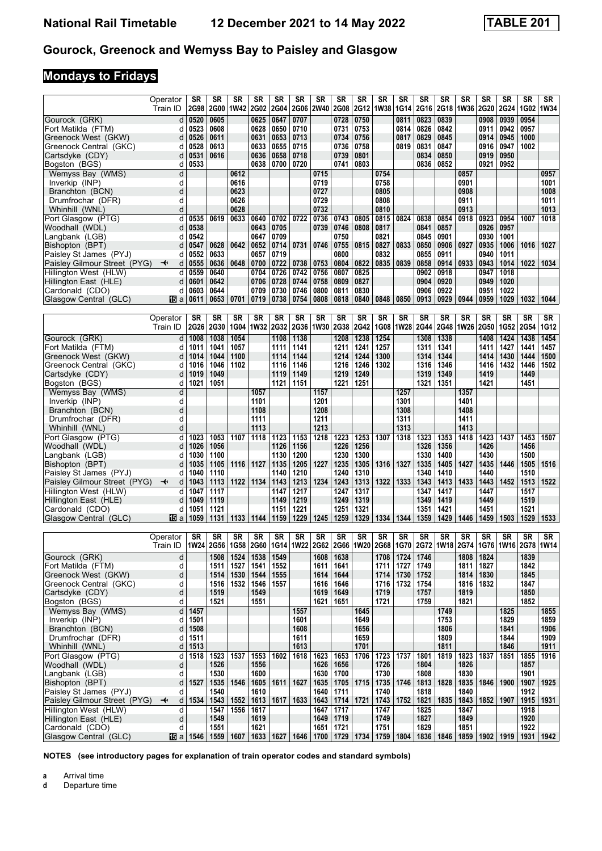# **Mondays to Fridays**

|                                           | Operator                | <b>SR</b>    | <b>SR</b>         | <b>SR</b>    | <b>SR</b>    | <b>SR</b>    | <b>SR</b>    | <b>SR</b>                                                     | <b>SR</b>    | <b>SR</b>    | SR           | <b>SR</b>    | <b>SR</b>    | SR           | <b>SR</b>                  | <b>SR</b>    | SR           | <b>SR</b>    | <b>SR</b>    |
|-------------------------------------------|-------------------------|--------------|-------------------|--------------|--------------|--------------|--------------|---------------------------------------------------------------|--------------|--------------|--------------|--------------|--------------|--------------|----------------------------|--------------|--------------|--------------|--------------|
|                                           | Train ID                | <b>2G98</b>  | 2G00 1W42         |              | <b>2G02</b>  | 2G04         |              | 2G06 2W40                                                     | 2G08         |              | 2G12 1W38    | <b>1G14</b>  | 2G16         | 2G18 1W36    |                            | 2G20         | <b>2G24</b>  | 1G02         | <b>1W34</b>  |
| Gourock (GRK)                             | d                       | 0520         | 0605              |              | 0625         | 0647         | 0707         |                                                               | 0728         | 0750         |              | 0811         | 0823         | 0839         |                            | 0908         | 0939         | 0954         |              |
| Fort Matilda (FTM)<br>Greenock West (GKW) | d<br>d                  | 0523<br>0526 | 0608<br>0611      |              | 0628<br>0631 | 0650<br>0653 | 0710<br>0713 |                                                               | 0731<br>0734 | 0753<br>0756 |              | 0814<br>0817 | 0826<br>0829 | 0842<br>0845 |                            | 0911<br>0914 | 0942<br>0945 | 0957<br>1000 |              |
| Greenock Central (GKC)                    | d                       | 0528         | 0613              |              | 0633         | 0655         | 0715         |                                                               | 0736         | 0758         |              | 0819         | 0831         | 0847         |                            | 0916         | 0947         | 1002         |              |
| Cartsdyke (CDY)                           | d                       | 0531         | 0616              |              | 0636         | 0658         | 0718         |                                                               | 0739         | 0801         |              |              | 0834         | 0850         |                            | 0919         | 0950         |              |              |
| Bogston (BGS)                             | d                       | 0533         |                   |              | 0638         | 0700         | 0720         |                                                               | 0741         | 0803         |              |              | 0836         | 0852         |                            | 0921         | 0952         |              |              |
| Wemyss Bay (WMS)                          | d                       |              |                   | 0612         |              |              |              | 0715                                                          |              |              | 0754         |              |              |              | 0857                       |              |              |              | 0957         |
| Inverkip (INP)<br>Branchton (BCN)         | d<br>d                  |              |                   | 0616<br>0623 |              |              |              | 0719<br>0727                                                  |              |              | 0758<br>0805 |              |              |              | 0901<br>0908               |              |              |              | 1001<br>1008 |
| Drumfrochar (DFR)                         | d                       |              |                   | 0626         |              |              |              | 0729                                                          |              |              | 0808         |              |              |              | 0911                       |              |              |              | 1011         |
| Whinhill (WNL)                            | d                       |              |                   | 0628         |              |              |              | 0732                                                          |              |              | 0810         |              |              |              | 0913                       |              |              |              | 1013         |
| Port Glasgow (PTG)                        | d                       | 0535         | 0619              | 0633         | 0640         | 0702         | 0722         | 0736                                                          | 0743         | 0805         | 0815         | 0824         | 0838         | 0854         | 0918                       | 0923         | 0954         | 1007         | 1018         |
| Woodhall (WDL)                            | d                       | 0538         |                   |              | 0643         | 0705         |              | 0739                                                          | 0746         | 0808         | 0817         |              | 0841         | 0857         |                            | 0926         | 0957         |              |              |
| Langbank (LGB)                            | d                       | 0542         |                   |              | 0647         | 0709         |              |                                                               | 0750         |              | 0821         |              | 0845         | 0901         |                            | 0930         | 1001         |              |              |
| Bishopton (BPT)<br>Paisley St James (PYJ) | d<br>d                  | 0547<br>0552 | 0628<br>0633      | 0642         | 0652<br>0657 | 0714<br>0719 | 0731         | 0746                                                          | 0755<br>0800 | 0815         | 0827<br>0832 | 0833         | 0850<br>0855 | 0906<br>0911 | 0927                       | 0935<br>0940 | 1006<br>1011 | 1016         | 1027         |
| Paisley Gilmour Street (PYG)              | d<br>↞                  | 0555         | 0636              | 0648         | 0700         | 0722         | 0738         | 0753                                                          | 0804         | 0822         | 0835         | 0839         | 0858         | 0914         | 0933                       | 0943         | 1014         | 1022         | 1034         |
| Hillington West (HLW)                     | d                       | 0559         | 0640              |              | 0704         | 0726         | 0742         | 0756                                                          | 0807         | 0825         |              |              | 0902         | 0918         |                            | 0947         | 1018         |              |              |
| Hillington East (HLE)                     | d                       | 0601         | 0642              |              | 0706         | 0728         | 0744         | 0758                                                          | 0809         | 0827         |              |              | 0904         | 0920         |                            | 0949         | 1020         |              |              |
| Cardonald (CDO)                           | d                       | 0603         | 0644              |              | 0709         | 0730         | 0746         | 0800                                                          | 0811         | 0830         |              |              | 0906         | 0922         |                            | 0951         | 1022         |              |              |
| Glasgow Central (GLC)                     | 阳a                      | 0611         | 0653              | 0701         | 0719         | 0738         | 0754         | 0808                                                          | 0818         | 0840         |              | 0848 0850    | 0913         | 0929         | 0944                       | 0959         | 1029         | 1032         | 1044         |
|                                           | Operator                | <b>SR</b>    | <b>SR</b>         | SR           | SR           | <b>SR</b>    | SR           | SR                                                            | SR           | SR           | SR           | SR           | SR           | SR           | <b>SR</b>                  | <b>SR</b>    | SR           | SR           | SR           |
|                                           | Train ID                | <b>2G26</b>  | <b>2G30</b>       |              | 1G04 1W32    | <b>2G32</b>  |              | 2G36 1W30                                                     | 2G38         | <b>2G42</b>  |              | 1G08 1W28    | <b>2G44</b>  |              | 2G48 1W26                  | 2G50         | <b>1G52</b>  | 2G54         | <b>1G12</b>  |
| Gourock (GRK)                             | d                       | 1008         | 1038              | 1054         |              | 1108         | 1138         |                                                               | 1208         | 1238         | 1254         |              | 1308         | 1338         |                            | 1408         | 1424         | 1438         | 1454         |
| Fort Matilda (FTM)                        | d                       | 1011         | 1041              | 1057         |              | 1111         | 1141         |                                                               | 1211         | 1241         | 1257         |              | 1311         | 1341         |                            | 1411         | 1427         | 1441         | 1457         |
| Greenock West (GKW)                       | d                       | 1014         | 1044              | 1100         |              | 1114         | 1144         |                                                               | 1214         | 1244         | 1300         |              | 1314         | 1344         |                            | 1414         | 1430         | 1444         | 1500         |
| Greenock Central (GKC)                    | d                       | 1016         | 1046              | 1102         |              | 1116         | 1146         |                                                               | 1216         | 1246         | 1302         |              | 1316         | 1346         |                            | 1416         | 1432         | 1446         | 1502         |
| Cartsdyke (CDY)                           | d                       | 1019<br>1021 | 1049<br>1051      |              |              | 1119<br>1121 | 1149<br>1151 |                                                               | 1219<br>1221 | 1249<br>1251 |              |              | 1319<br>1321 | 1349<br>1351 |                            | 1419<br>1421 |              | 1449<br>1451 |              |
| Bogston (BGS)<br>Wemyss Bay (WMS)         | d<br>d                  |              |                   |              | 1057         |              |              | 1157                                                          |              |              |              | 1257         |              |              | 1357                       |              |              |              |              |
| Inverkip (INP)                            | d                       |              |                   |              | 1101         |              |              | 1201                                                          |              |              |              | 1301         |              |              | 1401                       |              |              |              |              |
| Branchton (BCN)                           | d                       |              |                   |              | 1108         |              |              | 1208                                                          |              |              |              | 1308         |              |              | 1408                       |              |              |              |              |
| Drumfrochar (DFR)                         | d                       |              |                   |              | 1111         |              |              | 1211                                                          |              |              |              | 1311         |              |              | 1411                       |              |              |              |              |
| Whinhill (WNL)                            | d                       |              |                   |              | 1113         |              |              | 1213                                                          |              |              |              | 1313         |              |              | 1413                       |              |              |              |              |
| Port Glasgow (PTG)                        | d                       | 1023         | 1053              | 1107         | 1118         | 1123         | 1153         | 1218                                                          | 1223         | 1253         | 1307         | 1318         | 1323         | 1353         | 1418                       | 1423         | 1437         | 1453         | 1507         |
| Woodhall (WDL)<br>Langbank (LGB)          | d<br>d                  | 1026<br>1030 | 1056<br>1100      |              |              | 1126<br>1130 | 1156<br>1200 |                                                               | 1226<br>1230 | 1256<br>1300 |              |              | 1326<br>1330 | 1356<br>1400 |                            | 1426<br>1430 |              | 1456<br>1500 |              |
| Bishopton (BPT)                           | d                       | 1035         | 1105              | 1116   1127  |              | 1135         | 1205         | 1227                                                          | 1235         | 1305         | 1316 1327    |              | 1335         | 1405         | 1427                       | 1435         | 1446         | 1505         | 1516         |
| Paisley St James (PYJ)                    | d                       | 1040         | 1110              |              |              | 1140         | 1210         |                                                               | 1240         | 1310         |              |              | 1340         | 1410         |                            | 1440         |              | 1510         |              |
| Paisley Gilmour Street (PYG)              | d<br>↞                  | 1043         | 1113              | 1122         | 1134         | 1143         |              | 1213   1234                                                   | 1243         | 1313         | 1322         | 1333         | 1343         | 1413         | 1433                       | 1443         | 1452         | 1513         | 1522         |
| Hillington West (HLW)                     | d                       | 1047         | 1117              |              |              | 1147         | 1217         |                                                               | 1247         | 1317         |              |              | 1347         | 1417         |                            | 1447         |              | 1517         |              |
| Hillington East (HLE)<br>Cardonald (CDO)  | d<br>d                  | 1049<br>1051 | 1119<br>1121      |              |              | 1149<br>1151 | 1219<br>1221 |                                                               | 1249<br>1251 | 1319<br>1321 |              |              | 1349<br>1351 | 1419<br>1421 |                            | 1449<br>1451 |              | 1519<br>1521 |              |
| Glasgow Central (GLC)                     | 囮 a                     | 1059         | 1131              | 1133         | 1144         | 1159         | 1229         | 1245                                                          | 1259         | 1329         | 1334         | 1344         | 1359         | 1429         | 1446                       | 1459         | 1503         | 1529         | 1533         |
|                                           |                         |              |                   |              |              |              |              |                                                               |              |              |              |              |              |              |                            |              |              |              |              |
|                                           | Operator                | SR           | SR                | SR           | SR           | SR           | SR           | SR                                                            | SR           | SR           | SR           | <b>SR</b>    | SR           | SR           | <b>SR</b>                  | SR           | <b>SR</b>    | SR           | SR           |
|                                           | Train ID                | <b>1W24</b>  | 2G56              | 1G58         | 2G60         |              | 1G14 1W22    | 2G62                                                          |              | 2G66 1W20    | 2G68         | 1G70         |              | 2G72 1W18    | 2G74                       |              | 1G76 1W16    |              | 2G78 1W14    |
| Gourock (GRK)<br>Fort Matilda (FTM)       | d<br>d                  |              | 1508<br>1511      | 1524<br>1527 | 1538<br>1541 | 1549<br>1552 |              | 1608<br>1611                                                  | 1638<br>1641 |              | 1708<br>1711 | 1724<br>1727 | 1746<br>1749 |              | 1808<br>1811               | 1824<br>1827 |              | 1839<br>1842 |              |
| Greenock West (GKW)                       | d                       |              | 1514              | 1530         | 1544         | 1555         |              | 1614                                                          | 1644         |              | 1714         | 1730         | 1752         |              | 1814                       | 1830         |              | 1845         |              |
| Greenock Central (GKC)                    | d                       |              | 1516              | 1532         | 1546         | 1557         |              | 1616                                                          | 1646         |              | 1716         | 1732         | 1754         |              | 1816                       | 1832         |              | 1847         |              |
| Cartsdyke (CDY)                           | d                       |              | 1519              |              | 1549         |              |              | 1619                                                          | 1649         |              | 1719         |              | 1757         |              | 1819                       |              |              | 1850         |              |
| Bogston (BGS)                             | d                       |              | 1521              |              | 1551         |              |              | 1621                                                          | 1651         |              | 1721         |              | 1759         |              | 1821                       |              |              | 1852         |              |
| Wemyss Bay (WMS)                          | d                       | 1457         |                   |              |              |              | 1557         |                                                               |              | 1645         |              |              |              | 1749         |                            |              | 1825         |              | 1855         |
| Inverkip (INP)<br>Branchton (BCN)         | d<br>d                  | 1501<br>1508 |                   |              |              |              | 1601<br>1608 |                                                               |              | 1649<br>1656 |              |              |              | 1753<br>1806 |                            |              | 1829<br>1841 |              | 1859<br>1906 |
| Drumfrochar (DFR)                         | d                       | 1511         |                   |              |              |              | 1611         |                                                               |              | 1659         |              |              |              | 1809         |                            |              | 1844         |              | 1909         |
| Whinhill (WNL)                            | d                       | 1513         |                   |              |              |              | 1613         |                                                               |              | 1701         |              |              |              | 1811         |                            |              | 1846         |              | 1911         |
| Port Glasgow (PTG)                        | d                       | 1518         | 1523              | 1537         | 1553         | 1602         | 1618         | 1623                                                          | 1653         | 1706         | 1723         | 1737         | 1801         | 1819         | 1823                       | 1837         | 1851         | 1855         | 1916         |
| Woodhall (WDL)                            | d                       |              | 1526              |              | 1556         |              |              | 1626                                                          | 1656         |              | 1726         |              | 1804         |              | 1826                       |              |              | 1857         |              |
| Langbank (LGB)<br>Bishopton (BPT)         | d<br>d                  | 1527         | 1530<br>1535      | 1546         | 1600<br>1605 | 1611         | 1627         | 1630<br>1635                                                  | 1700<br>1705 | 1715         | 1730<br>1735 | 1746         | 1808<br>1813 | 1828         | 1830<br>1835               | 1846         | 1900         | 1901<br>1907 | 1925         |
| Paisley St James (PYJ)                    | d                       |              | 1540              |              | 1610         |              |              | 1640                                                          | 1711         |              | 1740         |              | 1818         |              | 1840                       |              |              | 1912         |              |
| Paisley Gilmour Street (PYG)              | d<br>↞                  | 1534         | 1543              | 1552         |              | 1613 1617    | 1633         | 1643                                                          | 1714 1721    |              |              | 1743 1752    | 1821         | 1835         | 1843                       | 1852         | 1907         | 1915         | 1931         |
| Hillington West (HLW)                     | $\overline{\mathsf{d}}$ |              | 1547              | 1556         | 1617         |              |              | 1647                                                          | 1717         |              | 1747         |              | 1825         |              | 1847                       |              |              | 1918         |              |
| Hillington East (HLE)                     | d                       |              | 1549              |              | 1619         |              |              | 1649                                                          | 1719         |              | 1749         |              | 1827         |              | 1849                       |              |              | 1920         |              |
| Cardonald (CDO)<br>Glasgow Central (GLC)  | d                       | 15 a   1546  | 1551<br>1559 1607 |              | 1621         |              |              | 1651<br>1633   1627   1646   1700   1729   1734   1759   1804 | 1721         |              | 1751         |              | 1829         | 1836   1846  | 1851<br>1859   1902   1919 |              |              | 1922         | 1931   1942  |
|                                           |                         |              |                   |              |              |              |              |                                                               |              |              |              |              |              |              |                            |              |              |              |              |

**NOTES (see introductory pages for explanation of train operator codes and standard symbols)**

**a** Arrival time<br>**d** Departure t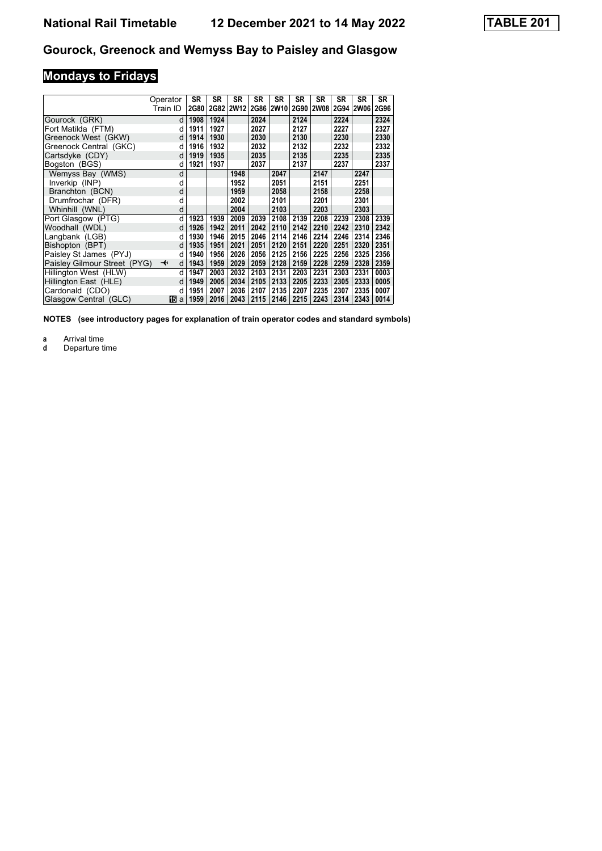# **Mondays to Fridays**

|                              | Operator                     | SR          | <b>SR</b> | SR                  | SR   | <b>SR</b> | SR   | SR        | SR   | SR        | <b>SR</b> |
|------------------------------|------------------------------|-------------|-----------|---------------------|------|-----------|------|-----------|------|-----------|-----------|
|                              | Train ID                     | <b>2G80</b> |           | 2G82 2W12 2G86 2W10 |      |           |      | 2G90 2W08 |      | 2G94 2W06 | 2G96      |
| Gourock (GRK)                | d                            | 1908        | 1924      |                     | 2024 |           | 2124 |           | 2224 |           | 2324      |
| Fort Matilda (FTM)           | d                            | 1911        | 1927      |                     | 2027 |           | 2127 |           | 2227 |           | 2327      |
| Greenock West (GKW)          | d                            | 1914        | 1930      |                     | 2030 |           | 2130 |           | 2230 |           | 2330      |
| Greenock Central (GKC)       | d                            | 1916        | 1932      |                     | 2032 |           | 2132 |           | 2232 |           | 2332      |
| Cartsdyke (CDY)              | d                            | 1919        | 1935      |                     | 2035 |           | 2135 |           | 2235 |           | 2335      |
| Bogston (BGS)                | d                            | 1921        | 1937      |                     | 2037 |           | 2137 |           | 2237 |           | 2337      |
| Wemyss Bay (WMS)             | d                            |             |           | 1948                |      | 2047      |      | 2147      |      | 2247      |           |
| Inverkip (INP)               | d                            |             |           | 1952                |      | 2051      |      | 2151      |      | 2251      |           |
| Branchton (BCN)              | d                            |             |           | 1959                |      | 2058      |      | 2158      |      | 2258      |           |
| Drumfrochar (DFR)            | d                            |             |           | 2002                |      | 2101      |      | 2201      |      | 2301      |           |
| Whinhill (WNL)               | d                            |             |           | 2004                |      | 2103      |      | 2203      |      | 2303      |           |
| Port Glasgow (PTG)           | d                            | 1923        | 1939      | 2009                | 2039 | 2108      | 2139 | 2208      | 2239 | 2308      | 2339      |
| Woodhall (WDL)               | d                            | 1926        | 1942      | 2011                | 2042 | 2110      | 2142 | 2210      | 2242 | 2310      | 2342      |
| Langbank (LGB)               | d                            | 1930        | 1946      | 2015                | 2046 | 2114      | 2146 | 2214      | 2246 | 2314      | 2346      |
| Bishopton (BPT)              | d                            | 1935        | 1951      | 2021                | 2051 | 2120      | 2151 | 2220      | 2251 | 2320      | 2351      |
| Paisley St James (PYJ)       | d                            | 1940        | 1956      | 2026                | 2056 | 2125      | 2156 | 2225      | 2256 | 2325      | 2356      |
| Paisley Gilmour Street (PYG) | $\overline{\mathbf{t}}$<br>d | 1943        | 1959      | 2029                | 2059 | 2128      | 2159 | 2228      | 2259 | 2328      | 2359      |
| Hillington West (HLW)        | d                            | 1947        | 2003      | 2032                | 2103 | 2131      | 2203 | 2231      | 2303 | 2331      | 0003      |
| Hillington East (HLE)        | d                            | 1949        | 2005      | 2034                | 2105 | 2133      | 2205 | 2233      | 2305 | 2333      | 0005      |
| Cardonald (CDO)              | d                            | 1951        | 2007      | 2036                | 2107 | 2135      | 2207 | 2235      | 2307 | 2335      | 0007      |
| Glasgow Central (GLC)        | 個a                           | 1959        | 2016      | 2043                | 2115 | 2146      | 2215 | 2243      | 2314 | 2343      | 0014      |

**NOTES (see introductory pages for explanation of train operator codes and standard symbols)**

**a** Arrival time<br>**d** Departure ti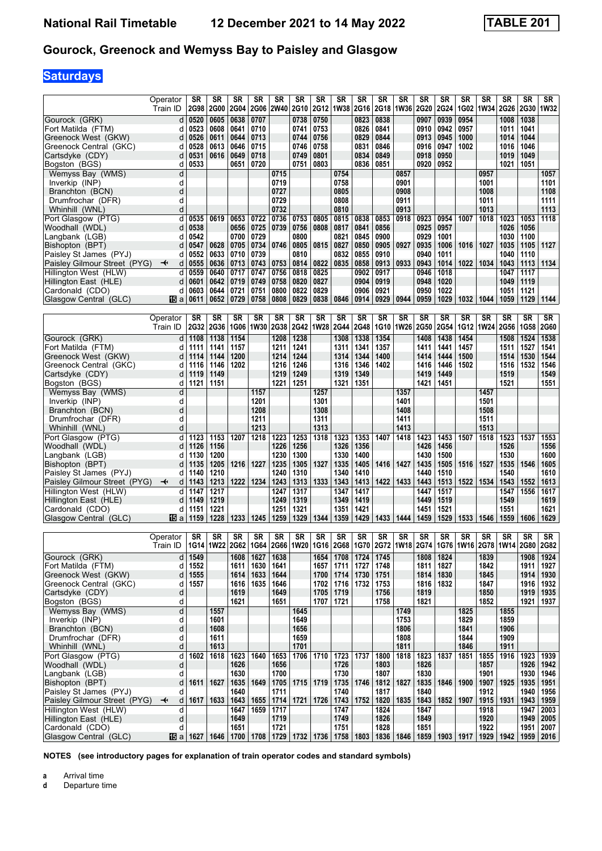# **Saturdays**

|                                                       | Operator                     | SR           | SR            | SR           | SR                                             | SR           | SR           | SR           | SR           | SR           | SR           | SR           | SR           | SR                                                    | SR           | SR                  | SR           | SR           | SR                     |
|-------------------------------------------------------|------------------------------|--------------|---------------|--------------|------------------------------------------------|--------------|--------------|--------------|--------------|--------------|--------------|--------------|--------------|-------------------------------------------------------|--------------|---------------------|--------------|--------------|------------------------|
|                                                       | Train ID                     | 2G98         | <b>2G00</b>   | <b>2G04</b>  | <b>2G06</b>                                    | 2W40 2G10    |              | <b>2G12</b>  | 1W38 2G16    |              | 2G18         | <b>1W36</b>  | <b>2G20</b>  | 2G24                                                  |              | 1G02 1W34           | 2G26         | <b>2G30</b>  | <b>1W32</b>            |
| Gourock (GRK)                                         | d                            | 0520         | 0605          | 0638         | 0707                                           |              | 0738         | 0750         |              | 0823         | 0838         |              | 0907         | 0939                                                  | 0954         |                     | 1008         | 1038         |                        |
| Fort Matilda (FTM)                                    | d                            | 0523         | 0608          | 0641         | 0710                                           |              | 0741         | 0753         |              | 0826         | 0841         |              | 0910         | 0942                                                  | 0957         |                     | 1011         | 1041         |                        |
| Greenock West (GKW)                                   | d                            | 0526         | 0611          | 0644         | 0713                                           |              | 0744         | 0756         |              | 0829         | 0844         |              | 0913         | 0945                                                  | 1000         |                     | 1014         | 1044         |                        |
| Greenock Central (GKC)                                | d                            | 0528         | 0613          | 0646         | 0715                                           |              | 0746         | 0758         |              | 0831         | 0846         |              | 0916         | 0947                                                  | 1002         |                     | 1016         | 1046         |                        |
| Cartsdyke (CDY)                                       | d                            | 0531         | 0616          | 0649         | 0718                                           |              | 0749         | 0801         |              | 0834         | 0849         |              | 0918         | 0950                                                  |              |                     | 1019         | 1049         |                        |
| Bogston (BGS)                                         | d                            | 0533         |               | 0651         | 0720                                           |              | 0751         | 0803         |              | 0836         | 0851         |              | 0920         | 0952                                                  |              |                     | 1021         | 1051         |                        |
| Wemyss Bay (WMS)                                      | d                            |              |               |              |                                                | 0715         |              |              | 0754         |              |              | 0857         |              |                                                       |              | 0957                |              |              | 1057                   |
| Inverkip (INP)<br>Branchton (BCN)                     | d<br>d                       |              |               |              |                                                | 0719<br>0727 |              |              | 0758<br>0805 |              |              | 0901<br>0908 |              |                                                       |              | 1001<br>1008        |              |              | 1101<br>1108           |
| Drumfrochar (DFR)                                     | d                            |              |               |              |                                                | 0729         |              |              | 0808         |              |              | 0911         |              |                                                       |              | 1011                |              |              | 1111                   |
| Whinhill (WNL)                                        | d                            |              |               |              |                                                | 0732         |              |              | 0810         |              |              | 0913         |              |                                                       |              | 1013                |              |              | 1113                   |
| Port Glasgow (PTG)                                    | d                            | 0535         | 0619          | 0653         | 0722                                           | 0736         | 0753         | 0805         | 0815         | 0838         | 0853         | 0918         | 0923         | 0954                                                  | 1007         | 1018                | 1023         | 1053         | 1118                   |
| Woodhall (WDL)                                        | d                            | 0538         |               | 0656         | 0725                                           | 0739         | 0756         | 0808         | 0817         | 0841         | 0856         |              | 0925         | 0957                                                  |              |                     | 1026         | 1056         |                        |
| Langbank (LGB)                                        | d                            | 0542         |               | 0700         | 0729                                           |              | 0800         |              | 0821         | 0845         | 0900         |              | 0929         | 1001                                                  |              |                     | 1030         | 1100         |                        |
| Bishopton (BPT)                                       | d                            | 0547         | 0628          | 0705         | 0734                                           | 0746         | 0805         | 0815         | 0827         | 0850         | 0905         | 0927         | 0935         | 1006                                                  | 1016         | 1027                | 1035         | 1105         | 1127                   |
| Paisley St James (PYJ)                                | d                            | 0552         | 0633          | 0710         | 0739                                           |              | 0810         |              | 0832         | 0855         | 0910         |              | 0940         | 1011                                                  |              |                     | 1040         | 1110         |                        |
| Paisley Gilmour Street (PYG)<br>Hillington West (HLW) | $\ddotmark$<br>d<br>d        | 0555<br>0559 | 0636<br>0640  | 0713<br>0717 | 0743<br>0747                                   | 0753<br>0756 | 0814<br>0818 | 0822<br>0825 | 0835         | 0858<br>0902 | 0913<br>0917 | 0933         | 0943<br>0946 | 1014<br>1018                                          | 1022         | 1034                | 1043<br>1047 | 1113<br>1117 | 1134                   |
| Hillington East (HLE)                                 | d                            | 0601         | 0642          | 0719         | 0749                                           | 0758         | 0820         | 0827         |              | 0904         | 0919         |              | 0948         | 1020                                                  |              |                     | 1049         | 1119         |                        |
| Cardonald (CDO)                                       | d                            | 0603         | 0644          | 0721         | 0751                                           | 0800         | 0822         | 0829         |              | 0906         | 0921         |              | 0950         | 1022                                                  |              |                     | 1051         | 1121         |                        |
| Glasgow Central (GLC)                                 | 115ia                        | 0611         | 0652          | 0729         | 0758                                           | 0808         | 0829         | 0838         | 0846         | 0914         | 0929         | 0944         | 0959         | 1029                                                  | 1032         | 1044                | 1059         | 1129         | 1144                   |
|                                                       |                              |              |               |              |                                                |              |              |              |              |              |              |              |              |                                                       |              |                     |              |              |                        |
|                                                       | Operator                     | SR           | SR            | SR           | SR                                             | SR           | SR           | SR           | SR           | SR           | SR           | SR           | SR           | SR                                                    | SR           | SR                  | SR           | SR           | SR                     |
|                                                       | Train ID                     | <b>2G32</b>  | 2G36          | 1G06         | 1W30 2G38                                      |              | <b>2G42</b>  | 1W28         | <b>2G44</b>  | 2G48         | 1G10         | 1W26         | <b>2G50</b>  | 2G54                                                  | 1G12         | 1W24                | 2G56         | <b>1G58</b>  | <b>2G60</b>            |
| Gourock (GRK)                                         | d                            | 1108         | 1138          | 1154         |                                                | 1208         | 1238         |              | 1308         | 1338         | 1354         |              | 1408         | 1438                                                  | 1454         |                     | 1508         | 1524         | 1538                   |
| Fort Matilda (FTM)                                    | d                            | 1111         | 1141          | 1157         |                                                | 1211         | 1241         |              | 1311         | 1341         | 1357         |              | 1411         | 1441                                                  | 1457         |                     | 1511         | 1527         | 1541                   |
| Greenock West (GKW)<br>Greenock Central (GKC)         | d<br>d                       | 1114<br>1116 | 1144<br>1146  | 1200<br>1202 |                                                | 1214<br>1216 | 1244<br>1246 |              | 1314<br>1316 | 1344<br>1346 | 1400<br>1402 |              | 1414<br>1416 | 1444<br>1446                                          | 1500<br>1502 |                     | 1514<br>1516 | 1530<br>1532 | 1544<br>1546           |
| Cartsdyke (CDY)                                       | d                            | 1119         | 1149          |              |                                                | 1219         | 1249         |              | 1319         | 1349         |              |              | 1419         | 1449                                                  |              |                     | 1519         |              | 1549                   |
| Bogston (BGS)                                         | d                            | 1121         | 1151          |              |                                                | 1221         | 1251         |              | 1321         | 1351         |              |              | 1421         | 1451                                                  |              |                     | 1521         |              | 1551                   |
| Wemyss Bay (WMS)                                      | d                            |              |               |              | 1157                                           |              |              | 1257         |              |              |              | 1357         |              |                                                       |              | 1457                |              |              |                        |
| Inverkip (INP)                                        | d                            |              |               |              | 1201                                           |              |              | 1301         |              |              |              | 1401         |              |                                                       |              | 1501                |              |              |                        |
| Branchton (BCN)                                       | d                            |              |               |              | 1208                                           |              |              | 1308         |              |              |              | 1408         |              |                                                       |              | 1508                |              |              |                        |
| Drumfrochar (DFR)                                     | d                            |              |               |              | 1211                                           |              |              | 1311         |              |              |              | 1411         |              |                                                       |              | 1511                |              |              |                        |
| Whinhill (WNL)<br>Port Glasgow (PTG)                  | d<br>d                       | 1123         | 1153          | 1207         | 1213<br>1218                                   | 1223         | 1253         | 1313<br>1318 | 1323         | 1353         | 1407         | 1413<br>1418 | 1423         | 1453                                                  | 1507         | 1513<br>1518        | 1523         | 1537         | 1553                   |
| Woodhall (WDL)                                        | d                            | 1126         | 1156          |              |                                                | 1226         | 1256         |              | 1326         | 1356         |              |              | 1426         | 1456                                                  |              |                     | 1526         |              | 1556                   |
| Langbank (LGB)                                        | d                            | 1130         | 1200          |              |                                                | 1230         | 1300         |              | 1330         | 1400         |              |              | 1430         | 1500                                                  |              |                     | 1530         |              | 1600                   |
| Bishopton (BPT)                                       | d                            | 1135         | 1205          | 1216         | 1227                                           | 1235         | 1305         | 1327         | 1335         | 1405         | 1416         | 1427         | 1435         | 1505                                                  | 1516         | 1527                | 1535         | 1546         | 1605                   |
| Paisley St James (PYJ)                                | d                            | 1140         | 1210          |              |                                                | 1240         | 1310         |              | 1340         | 1410         |              |              | 1440         | 1510                                                  |              |                     | 1540         |              | 1610                   |
| Paisley Gilmour Street (PYG)                          | d<br>$\overline{\mathbf{t}}$ | 1143         | 1213          | 1222         | 1234                                           | 1243         | 1313         | 1333         | 1343         | 1413         | 1422         | 1433         | 1443         | 1513                                                  | 1522         | 1534                | 1543         | 1552         | 1613                   |
| Hillington West (HLW)                                 | d                            | 1147<br>1149 | 1217<br>1219  |              |                                                | 1247<br>1249 | 1317<br>1319 |              | 1347<br>1349 | 1417<br>1419 |              |              | 1447<br>1449 | 1517<br>1519                                          |              |                     | 1547<br>1549 | 1556         | 1617<br>1619           |
| Hillington East (HLE)<br>Cardonald (CDO)              | d<br>d                       | 1151         | 1221          |              |                                                | 1251         | 1321         |              | 1351         | 1421         |              |              | 1451         | 1521                                                  |              |                     | 1551         |              | 1621                   |
| Glasgow Central (GLC)                                 | 115 a                        | 1159         | 1228          | 1233         | 1245                                           | 1259         | 1329         | 1344         | 1359         | 1429         | 1433         | 1444         | 1459         | 1529                                                  | 1533         | 1546                | 1559         | 1606         | 1629                   |
|                                                       |                              |              |               |              |                                                |              |              |              |              |              |              |              |              |                                                       |              |                     |              |              |                        |
|                                                       | Operator                     | SR           | SR            | SR           | SR                                             | SR           | SR           | SR           | SR           | SR           | SR           | SR           | SR           | SR                                                    | SR           | SR                  | SR           | SR           | SR                     |
|                                                       | Train ID                     |              |               |              | 1G14   1W22   2G62   1G64   2G66   1W20   1G16 |              |              |              |              | 2G68   1G70  |              |              |              | 2G72   1W18   2G74   1G76   1W16   2G78   1W14   2G80 |              |                     |              |              | <b>2G82</b>            |
| Gourock (GRK)                                         | d                            | 1549         |               | 1608         | 1627                                           | 1638         |              | 1654         | 1708         | 1724         | 1745         |              | 1808         | 1824                                                  |              | 1839                |              | 1908         | 1924                   |
| Fort Matilda (FTM)                                    | d                            | 1552         |               | 1611         | 1630                                           | 1641         |              | 1657         | 1711         | 1727         | 1748         |              | 1811         | 1827                                                  |              | 1842                |              | 1911         | 1927                   |
| Greenock West (GKW)<br>Greenock Central (GKC)         | d                            | 1555         |               | 1614         | 1633                                           | 1644         |              | 1700         | 1714         | 1730         | 1751         |              | 1814         | 1830                                                  |              | 1845                |              | 1914         | 1930                   |
| Cartsdyke (CDY)                                       | d<br>d                       | 1557         |               | 1616<br>1619 | 1635                                           | 1646<br>1649 |              | 1702<br>1705 | 1716<br>1719 | 1732         | 1753<br>1756 |              | 1816<br>1819 | 1832                                                  |              | 1847<br>1850        |              | 1916<br>1919 | $ 1932\rangle$<br>1935 |
| Bogston (BGS)                                         | d                            |              |               | 1621         |                                                | 1651         |              | 1707         | 1721         |              | 1758         |              | 1821         |                                                       |              | 1852                |              | 1921         | 1937                   |
| Wemyss Bay (WMS)                                      | ${\sf d}$                    |              | 1557          |              |                                                |              | 1645         |              |              |              |              | 1749         |              |                                                       | 1825         |                     | 1855         |              |                        |
| Inverkip (INP)                                        | d                            |              | 1601          |              |                                                |              | 1649         |              |              |              |              | 1753         |              |                                                       | 1829         |                     | 1859         |              |                        |
| Branchton (BCN)                                       | d                            |              | 1608          |              |                                                |              | 1656         |              |              |              |              | 1806         |              |                                                       | 1841         |                     | 1906         |              |                        |
| Drumfrochar (DFR)                                     | d                            |              | 1611          |              |                                                |              | 1659         |              |              |              |              | 1808         |              |                                                       | 1844         |                     | 1909         |              |                        |
| Whinhill (WNL)                                        | d                            | 1602         | 1613<br>1618  | 1623         | 1640                                           |              | 1701<br>1706 | 1710         |              | 1737         |              | 1811<br>1818 |              | 1837                                                  | 1846<br>1851 |                     | 1911<br>1916 | 1923         | 1939                   |
| Port Glasgow (PTG)<br>Woodhall (WDL)                  | d<br>d                       |              |               | 1626         |                                                | 1653<br>1656 |              |              | 1723<br>1726 |              | 1800<br>1803 |              | 1823<br>1826 |                                                       |              | 1855<br>1857        |              | 1926         | 1942                   |
| Langbank (LGB)                                        | d                            |              |               | 1630         |                                                | 1700         |              |              | 1730         |              | 1807         |              | 1830         |                                                       |              | 1901                |              | 1930         | 1946                   |
| Bishopton (BPT)                                       | d                            | 1611         | 1627          | 1635         | 1649                                           | 1705         | 1715         | 1719         | 1735         | 1746         | 1812         | 1827         | 1835         | 1846                                                  | 1900         | 1907                | 1925         | 1935         | 1951                   |
| Paisley St James (PYJ)                                | d                            |              |               | 1640         |                                                | 1711         |              |              | 1740         |              | 1817         |              | 1840         |                                                       |              | 1912                |              | 1940         | 1956                   |
| Paisley Gilmour Street (PYG)                          | $\overline{\mathbf{t}}$<br>d | 1617         | 1633          | 1643         | 1655                                           | 1714         | 1721         | 1726         | 1743         | 1752         | 1820         | 1835         | 1843         | 1852                                                  | 1907         | 1915                | 1931         | 1943         | 1959                   |
| Hillington West (HLW)                                 | d                            |              |               | 1647         | 1659                                           | 1717         |              |              | 1747         |              | 1824         |              | 1847         |                                                       |              | 1918                |              | 1947         | 2003                   |
| Hillington East (HLE)                                 | d<br>d                       |              |               | 1649         |                                                | 1719         |              |              | 1749         |              | 1826         |              | 1849         |                                                       |              | 1920                |              | 1949         | 2005                   |
| Cardonald (CDO)<br>Glasgow Central (GLC)              | 15 a                         | 1627         | $1646$   1700 | 1651         | 1708 1729                                      | 1721         |              | 1732   1736  | 1751         | 1758 1803    | 1828         | 1836   1846  | 1851<br>1859 | 1903 1917                                             |              | 1922<br>1929   1942 |              | 1951<br>1959 | 2007<br> 2016          |
|                                                       |                              |              |               |              |                                                |              |              |              |              |              |              |              |              |                                                       |              |                     |              |              |                        |

**NOTES (see introductory pages for explanation of train operator codes and standard symbols)**

**a** Arrival time<br>**d** Departure t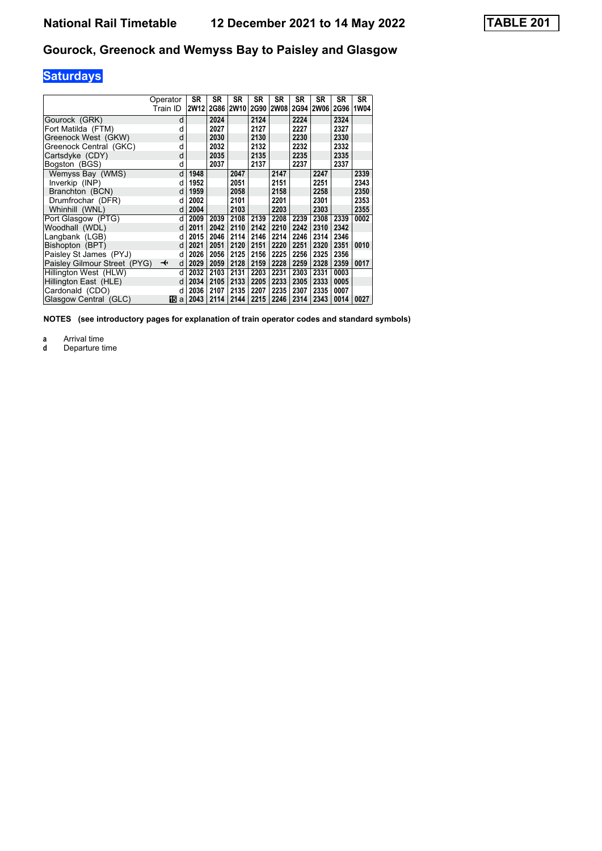# **Saturdays**

|                              | Operator | SR               | SR   | SR   | SR   | SR        | SR   | SR          | SR          | <b>SR</b> |
|------------------------------|----------|------------------|------|------|------|-----------|------|-------------|-------------|-----------|
|                              | Train ID | 2W <sub>12</sub> | 2G86 | 2W10 |      | 2G90 2W08 |      | 2G94   2W06 | <b>2G96</b> | 1W04      |
| Gourock (GRK)                | d        |                  | 2024 |      | 2124 |           | 2224 |             | 2324        |           |
| Fort Matilda (FTM)           | d        |                  | 2027 |      | 2127 |           | 2227 |             | 2327        |           |
| Greenock West (GKW)          | d        |                  | 2030 |      | 2130 |           | 2230 |             | 2330        |           |
| Greenock Central (GKC)       | d        |                  | 2032 |      | 2132 |           | 2232 |             | 2332        |           |
| Cartsdyke (CDY)              | d        |                  | 2035 |      | 2135 |           | 2235 |             | 2335        |           |
| Bogston (BGS)                | d        |                  | 2037 |      | 2137 |           | 2237 |             | 2337        |           |
| Wemyss Bay (WMS)             | d        | 1948             |      | 2047 |      | 2147      |      | 2247        |             | 2339      |
| Inverkip (INP)               | d        | 1952             |      | 2051 |      | 2151      |      | 2251        |             | 2343      |
| Branchton (BCN)              | d        | 1959             |      | 2058 |      | 2158      |      | 2258        |             | 2350      |
| Drumfrochar (DFR)            | d        | 2002             |      | 2101 |      | 2201      |      | 2301        |             | 2353      |
| Whinhill (WNL)               | d        | 2004             |      | 2103 |      | 2203      |      | 2303        |             | 2355      |
| Port Glasgow (PTG)           | d        | 2009             | 2039 | 2108 | 2139 | 2208      | 2239 | 2308        | 2339        | 0002      |
| Woodhall (WDL)               | d        | 2011             | 2042 | 2110 | 2142 | 2210      | 2242 | 2310        | 2342        |           |
| Langbank (LGB)               | d        | 2015             | 2046 | 2114 | 2146 | 2214      | 2246 | 2314        | 2346        |           |
| Bishopton (BPT)              | d        | 2021             | 2051 | 2120 | 2151 | 2220      | 2251 | 2320        | 2351        | 0010      |
| Paisley St James (PYJ)       | d        | 2026             | 2056 | 2125 | 2156 | 2225      | 2256 | 2325        | 2356        |           |
| Paisley Gilmour Street (PYG) | ↞<br>d   | 2029             | 2059 | 2128 | 2159 | 2228      | 2259 | 2328        | 2359        | 0017      |
| Hillington West (HLW)        | d        | 2032             | 2103 | 2131 | 2203 | 2231      | 2303 | 2331        | 0003        |           |
| Hillington East (HLE)        | d        | 2034             | 2105 | 2133 | 2205 | 2233      | 2305 | 2333        | 0005        |           |
| Cardonald (CDO)              | d        | 2036             | 2107 | 2135 | 2207 | 2235      | 2307 | 2335        | 0007        |           |
| Glasgow Central (GLC)        | 165 a    | 2043             | 2114 | 2144 | 2215 | 2246      | 2314 | 2343        | 0014        | 0027      |

**NOTES (see introductory pages for explanation of train operator codes and standard symbols)**

**a** Arrival time<br>**d** Departure ti